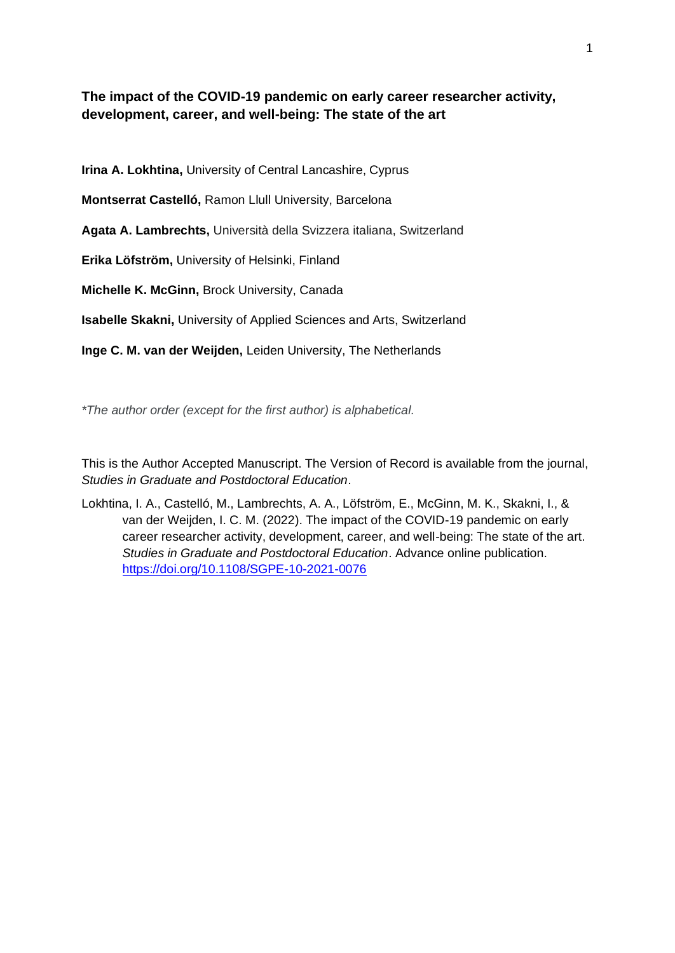**The impact of the COVID-19 pandemic on early career researcher activity, development, career, and well-being: The state of the art**

**Irina A. Lokhtina,** University of Central Lancashire, Cyprus

**Montserrat Castelló,** Ramon Llull University, Barcelona

**Agata A. Lambrechts,** Università della Svizzera italiana, Switzerland

**Erika Löfström,** University of Helsinki, Finland

**Michelle K. McGinn,** Brock University, Canada

**Isabelle Skakni,** University of Applied Sciences and Arts, Switzerland

**Inge C. M. van der Weijden,** Leiden University, The Netherlands

*\*The author order (except for the first author) is alphabetical.*

This is the Author Accepted Manuscript. The Version of Record is available from the journal, *Studies in Graduate and Postdoctoral Education*.

Lokhtina, I. A., Castelló, M., Lambrechts, A. A., Löfström, E., McGinn, M. K., Skakni, I., & van der Weijden, I. C. M. (2022). The impact of the COVID-19 pandemic on early career researcher activity, development, career, and well-being: The state of the art. *Studies in Graduate and Postdoctoral Education*. Advance online publication. <https://doi.org/10.1108/SGPE-10-2021-0076>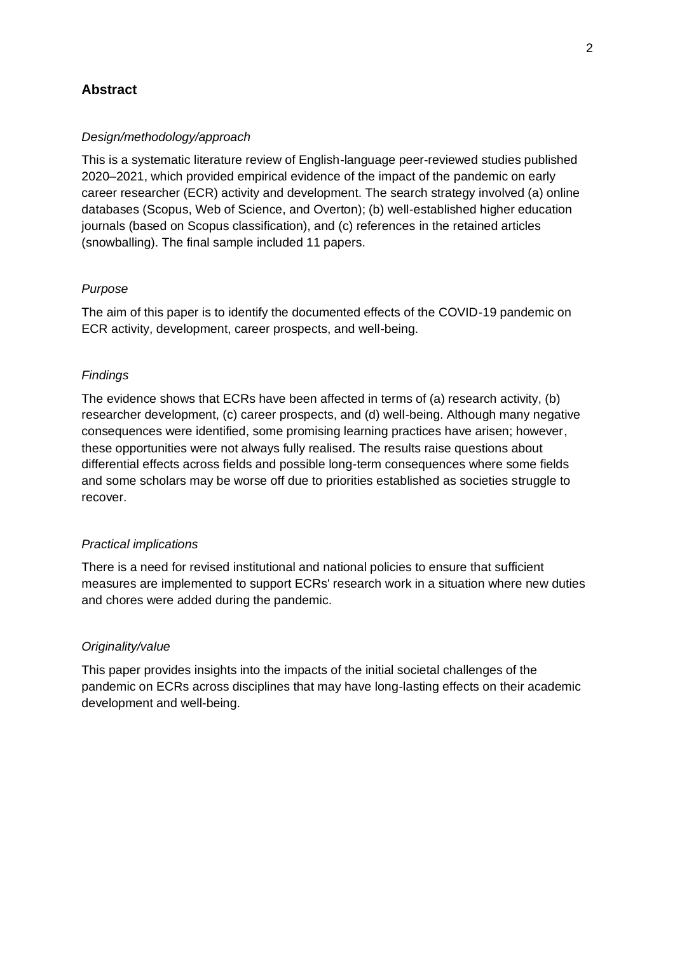## **Abstract**

#### *Design/methodology/approach*

This is a systematic literature review of English-language peer-reviewed studies published 2020–2021, which provided empirical evidence of the impact of the pandemic on early career researcher (ECR) activity and development. The search strategy involved (a) online databases (Scopus, Web of Science, and Overton); (b) well-established higher education journals (based on Scopus classification), and (c) references in the retained articles (snowballing). The final sample included 11 papers.

#### *Purpose*

The aim of this paper is to identify the documented effects of the COVID-19 pandemic on ECR activity, development, career prospects, and well-being.

#### *Findings*

The evidence shows that ECRs have been affected in terms of (a) research activity, (b) researcher development, (c) career prospects, and (d) well-being. Although many negative consequences were identified, some promising learning practices have arisen; however, these opportunities were not always fully realised. The results raise questions about differential effects across fields and possible long-term consequences where some fields and some scholars may be worse off due to priorities established as societies struggle to recover.

#### *Practical implications*

There is a need for revised institutional and national policies to ensure that sufficient measures are implemented to support ECRs' research work in a situation where new duties and chores were added during the pandemic.

#### *Originality/value*

This paper provides insights into the impacts of the initial societal challenges of the pandemic on ECRs across disciplines that may have long-lasting effects on their academic development and well-being.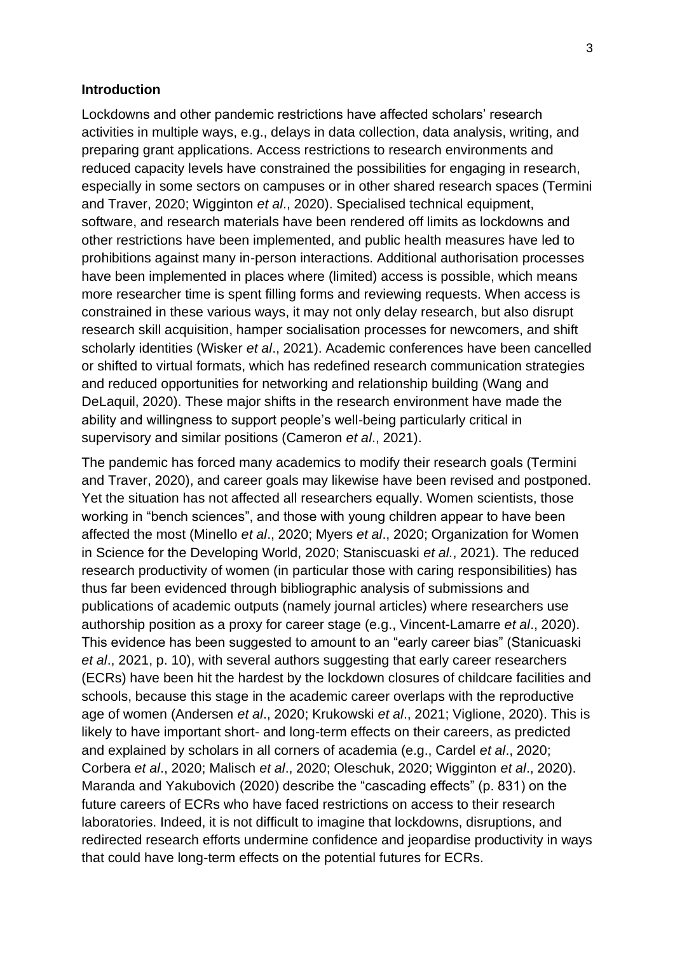### **Introduction**

Lockdowns and other pandemic restrictions have affected scholars' research activities in multiple ways, e.g., delays in data collection, data analysis, writing, and preparing grant applications. Access restrictions to research environments and reduced capacity levels have constrained the possibilities for engaging in research, especially in some sectors on campuses or in other shared research spaces (Termini and Traver, 2020; Wigginton *et al*., 2020). Specialised technical equipment, software, and research materials have been rendered off limits as lockdowns and other restrictions have been implemented, and public health measures have led to prohibitions against many in-person interactions. Additional authorisation processes have been implemented in places where (limited) access is possible, which means more researcher time is spent filling forms and reviewing requests. When access is constrained in these various ways, it may not only delay research, but also disrupt research skill acquisition, hamper socialisation processes for newcomers, and shift scholarly identities (Wisker *et al*., 2021). Academic conferences have been cancelled or shifted to virtual formats, which has redefined research communication strategies and reduced opportunities for networking and relationship building (Wang and DeLaquil, 2020). These major shifts in the research environment have made the ability and willingness to support people's well-being particularly critical in supervisory and similar positions (Cameron *et al*., 2021).

The pandemic has forced many academics to modify their research goals (Termini and Traver, 2020), and career goals may likewise have been revised and postponed. Yet the situation has not affected all researchers equally. Women scientists, those working in "bench sciences", and those with young children appear to have been affected the most (Minello *et al*., 2020; Myers *et al*., 2020; Organization for Women in Science for the Developing World, 2020; Staniscuaski *et al.*, 2021). The reduced research productivity of women (in particular those with caring responsibilities) has thus far been evidenced through bibliographic analysis of submissions and publications of academic outputs (namely journal articles) where researchers use authorship position as a proxy for career stage (e.g., Vincent-Lamarre *et al*., 2020). This evidence has been suggested to amount to an "early career bias" (Stanicuaski *et al*., 2021, p. 10), with several authors suggesting that early career researchers (ECRs) have been hit the hardest by the lockdown closures of childcare facilities and schools, because this stage in the academic career overlaps with the reproductive age of women (Andersen *et al*., 2020; Krukowski *et al*., 2021; Viglione, 2020). This is likely to have important short- and long-term effects on their careers, as predicted and explained by scholars in all corners of academia (e.g., Cardel *et al*., 2020; Corbera *et al*., 2020; Malisch *et al*., 2020; Oleschuk, 2020; Wigginton *et al*., 2020). Maranda and Yakubovich (2020) describe the "cascading effects" (p. 831) on the future careers of ECRs who have faced restrictions on access to their research laboratories. Indeed, it is not difficult to imagine that lockdowns, disruptions, and redirected research efforts undermine confidence and jeopardise productivity in ways that could have long-term effects on the potential futures for ECRs.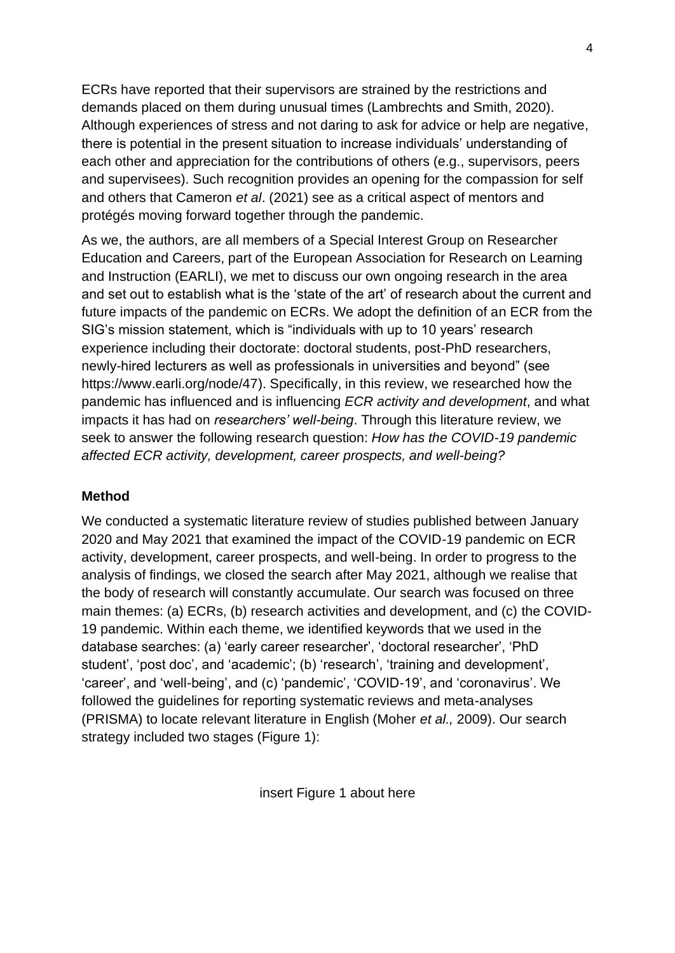ECRs have reported that their supervisors are strained by the restrictions and demands placed on them during unusual times (Lambrechts and Smith, 2020). Although experiences of stress and not daring to ask for advice or help are negative, there is potential in the present situation to increase individuals' understanding of each other and appreciation for the contributions of others (e.g., supervisors, peers and supervisees). Such recognition provides an opening for the compassion for self and others that Cameron *et al*. (2021) see as a critical aspect of mentors and protégés moving forward together through the pandemic.

As we, the authors, are all members of a Special Interest Group on Researcher Education and Careers, part of the [European Association for Research on Learning](https://www.earli.org/)  [and Instruction](https://www.earli.org/) (EARLI), we met to discuss our own ongoing research in the area and set out to establish what is the 'state of the art' of research about the current and future impacts of the pandemic on ECRs. We adopt the definition of an ECR from the SIG's mission statement, which is "individuals with up to 10 years' research experience including their doctorate: doctoral students, post-PhD researchers, newly-hired lecturers as well as professionals in universities and beyond" (see [https://www.earli.org/node/47\)](https://www.earli.org/node/47). Specifically, in this review, we researched how the pandemic has influenced and is influencing *ECR activity and development*, and what impacts it has had on *researchers' well-being*. Through this literature review, we seek to answer the following research question: *How has the COVID-19 pandemic affected ECR activity, development, career prospects, and well-being?*

## **Method**

We conducted a systematic literature review of studies published between January 2020 and May 2021 that examined the impact of the COVID-19 pandemic on ECR activity, development, career prospects, and well-being. In order to progress to the analysis of findings, we closed the search after May 2021, although we realise that the body of research will constantly accumulate. Our search was focused on three main themes: (a) ECRs, (b) research activities and development, and (c) the COVID-19 pandemic. Within each theme, we identified keywords that we used in the database searches: (a) 'early career researcher', 'doctoral researcher', 'PhD student', 'post doc', and 'academic'; (b) 'research', 'training and development', 'career', and 'well-being', and (c) 'pandemic', 'COVID-19', and 'coronavirus'. We followed the guidelines for reporting systematic reviews and meta-analyses (PRISMA) to locate relevant literature in English (Moher *et al.,* 2009). Our search strategy included two stages (Figure 1):

insert Figure 1 about here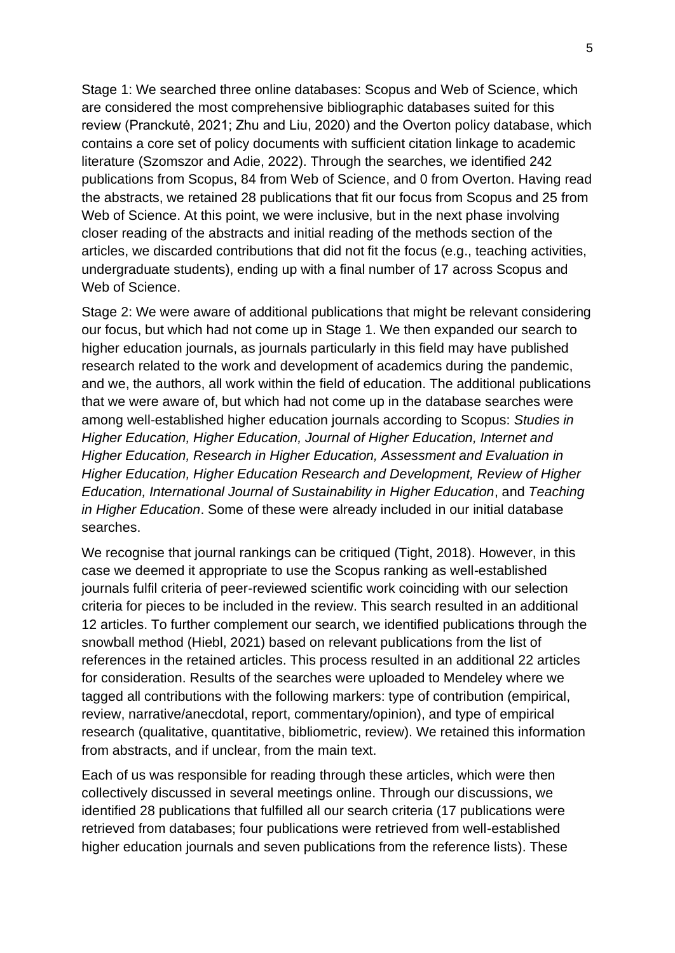Stage 1: We searched three online databases: Scopus and Web of Science, which are considered the most comprehensive bibliographic databases suited for this review (Pranckutė, 2021; Zhu and Liu, 2020) and the Overton policy database, which contains a core set of policy documents with sufficient citation linkage to academic literature (Szomszor and Adie, 2022). Through the searches, we identified 242 publications from Scopus, 84 from Web of Science, and 0 from Overton. Having read the abstracts, we retained 28 publications that fit our focus from Scopus and 25 from Web of Science. At this point, we were inclusive, but in the next phase involving closer reading of the abstracts and initial reading of the methods section of the articles, we discarded contributions that did not fit the focus (e.g., teaching activities, undergraduate students), ending up with a final number of 17 across Scopus and Web of Science.

Stage 2: We were aware of additional publications that might be relevant considering our focus, but which had not come up in Stage 1. We then expanded our search to higher education journals, as journals particularly in this field may have published research related to the work and development of academics during the pandemic, and we, the authors, all work within the field of education. The additional publications that we were aware of, but which had not come up in the database searches were among well-established higher education journals according to Scopus: *Studies in Higher Education, Higher Education, Journal of Higher Education, Internet and Higher Education, Research in Higher Education, Assessment and Evaluation in Higher Education, Higher Education Research and Development, Review of Higher Education, International Journal of Sustainability in Higher Education*, and *Teaching in Higher Education*. Some of these were already included in our initial database searches.

We recognise that journal rankings can be critiqued (Tight, 2018). However, in this case we deemed it appropriate to use the Scopus ranking as well-established journals fulfil criteria of peer-reviewed scientific work coinciding with our selection criteria for pieces to be included in the review. This search resulted in an additional 12 articles. To further complement our search, we identified publications through the snowball method (Hiebl, 2021) based on relevant publications from the list of references in the retained articles. This process resulted in an additional 22 articles for consideration. Results of the searches were uploaded to Mendeley where we tagged all contributions with the following markers: type of contribution (empirical, review, narrative/anecdotal, report, commentary/opinion), and type of empirical research (qualitative, quantitative, bibliometric, review). We retained this information from abstracts, and if unclear, from the main text.

Each of us was responsible for reading through these articles, which were then collectively discussed in several meetings online. Through our discussions, we identified 28 publications that fulfilled all our search criteria (17 publications were retrieved from databases; four publications were retrieved from well-established higher education journals and seven publications from the reference lists). These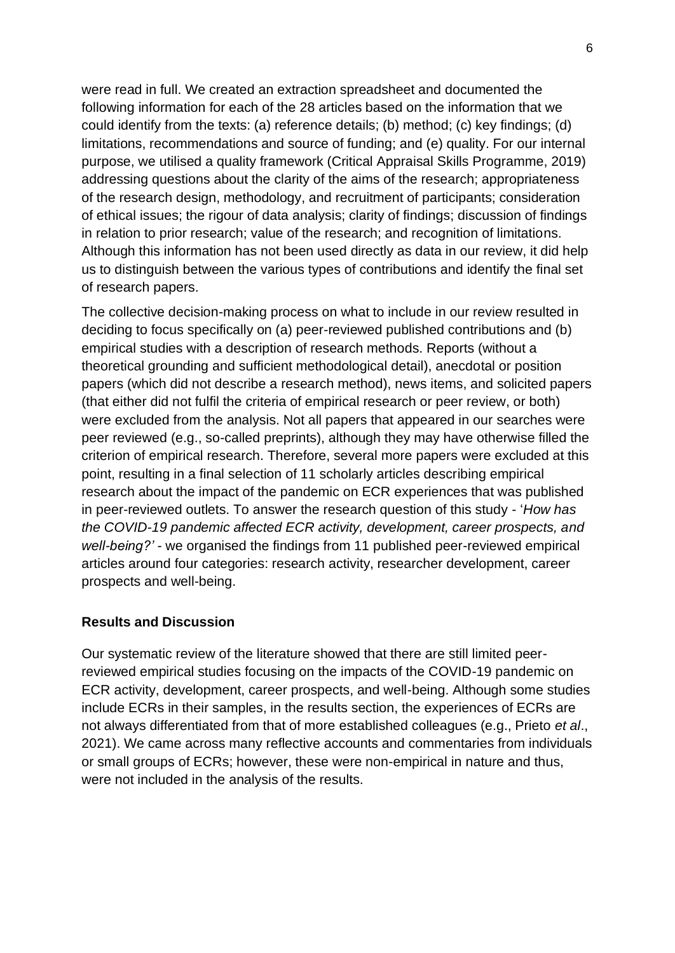were read in full. We created an extraction spreadsheet and documented the following information for each of the 28 articles based on the information that we could identify from the texts: (a) reference details; (b) method; (c) key findings; (d) limitations, recommendations and source of funding; and (e) quality. For our internal purpose, we utilised a quality framework (Critical Appraisal Skills Programme, 2019) addressing questions about the clarity of the aims of the research; appropriateness of the research design, methodology, and recruitment of participants; consideration of ethical issues; the rigour of data analysis; clarity of findings; discussion of findings in relation to prior research; value of the research; and recognition of limitations. Although this information has not been used directly as data in our review, it did help us to distinguish between the various types of contributions and identify the final set of research papers.

The collective decision-making process on what to include in our review resulted in deciding to focus specifically on (a) peer-reviewed published contributions and (b) empirical studies with a description of research methods. Reports (without a theoretical grounding and sufficient methodological detail), anecdotal or position papers (which did not describe a research method), news items, and solicited papers (that either did not fulfil the criteria of empirical research or peer review, or both) were excluded from the analysis. Not all papers that appeared in our searches were peer reviewed (e.g., so-called preprints), although they may have otherwise filled the criterion of empirical research. Therefore, several more papers were excluded at this point, resulting in a final selection of 11 scholarly articles describing empirical research about the impact of the pandemic on ECR experiences that was published in peer-reviewed outlets. To answer the research question of this study - '*How has the COVID-19 pandemic affected ECR activity, development, career prospects, and well-being?' -* we organised the findings from 11 published peer-reviewed empirical articles around four categories: research activity, researcher development, career prospects and well-being.

## **Results and Discussion**

Our systematic review of the literature showed that there are still limited peerreviewed empirical studies focusing on the impacts of the COVID-19 pandemic on ECR activity, development, career prospects, and well-being. Although some studies include ECRs in their samples, in the results section, the experiences of ECRs are not always differentiated from that of more established colleagues (e.g., Prieto *et al*., 2021). We came across many reflective accounts and commentaries from individuals or small groups of ECRs; however, these were non-empirical in nature and thus, were not included in the analysis of the results.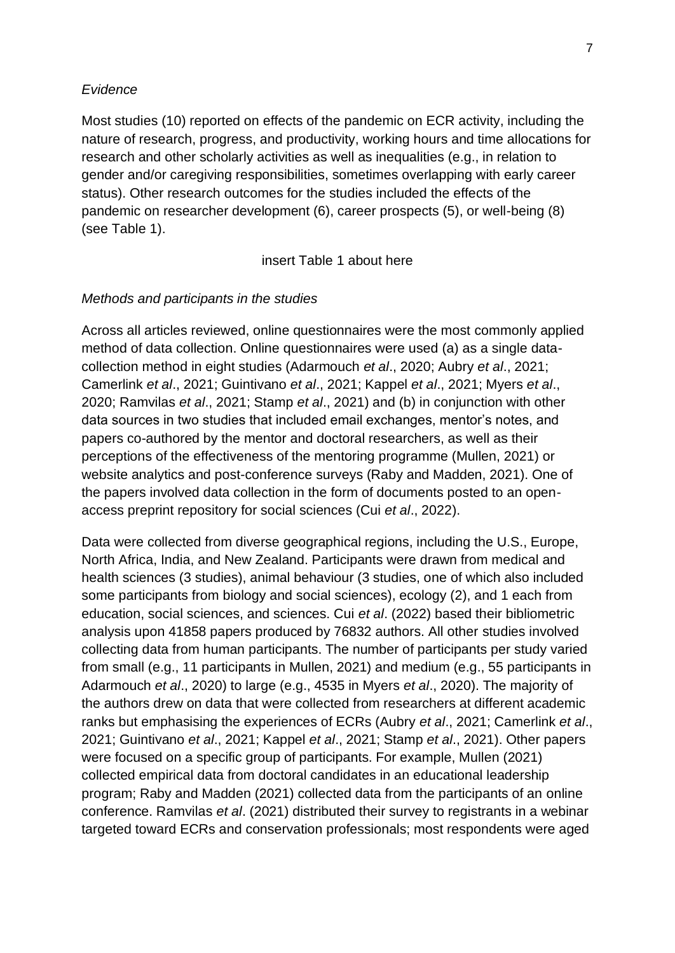## *Evidence*

Most studies (10) reported on effects of the pandemic on ECR activity, including the nature of research, progress, and productivity, working hours and time allocations for research and other scholarly activities as well as inequalities (e.g., in relation to gender and/or caregiving responsibilities, sometimes overlapping with early career status). Other research outcomes for the studies included the effects of the pandemic on researcher development (6), career prospects (5), or well-being (8) (see Table 1).

#### insert Table 1 about here

#### *Methods and participants in the studies*

Across all articles reviewed, online questionnaires were the most commonly applied method of data collection. Online questionnaires were used (a) as a single datacollection method in eight studies (Adarmouch *et al*., 2020; Aubry *et al*., 2021; Camerlink *et al*., 2021; Guintivano *et al*., 2021; Kappel *et al*., 2021; Myers *et al*., 2020; Ramvilas *et al*., 2021; Stamp *et al*., 2021) and (b) in conjunction with other data sources in two studies that included email exchanges, mentor's notes, and papers co-authored by the mentor and doctoral researchers, as well as their perceptions of the effectiveness of the mentoring programme (Mullen, 2021) or website analytics and post-conference surveys (Raby and Madden, 2021). One of the papers involved data collection in the form of documents posted to an openaccess preprint repository for social sciences (Cui *et al*., 2022).

Data were collected from diverse geographical regions, including the U.S., Europe, North Africa, India, and New Zealand. Participants were drawn from medical and health sciences (3 studies), animal behaviour (3 studies, one of which also included some participants from biology and social sciences), ecology (2), and 1 each from education, social sciences, and sciences. Cui *et al*. (2022) based their bibliometric analysis upon 41858 papers produced by 76832 authors. All other studies involved collecting data from human participants. The number of participants per study varied from small (e.g., 11 participants in Mullen, 2021) and medium (e.g., 55 participants in Adarmouch *et al*., 2020) to large (e.g., 4535 in Myers *et al*., 2020). The majority of the authors drew on data that were collected from researchers at different academic ranks but emphasising the experiences of ECRs (Aubry *et al*., 2021; Camerlink *et al*., 2021; Guintivano *et al*., 2021; Kappel *et al*., 2021; Stamp *et al*., 2021). Other papers were focused on a specific group of participants. For example, Mullen (2021) collected empirical data from doctoral candidates in an educational leadership program; Raby and Madden (2021) collected data from the participants of an online conference. Ramvilas *et al*. (2021) distributed their survey to registrants in a webinar targeted toward ECRs and conservation professionals; most respondents were aged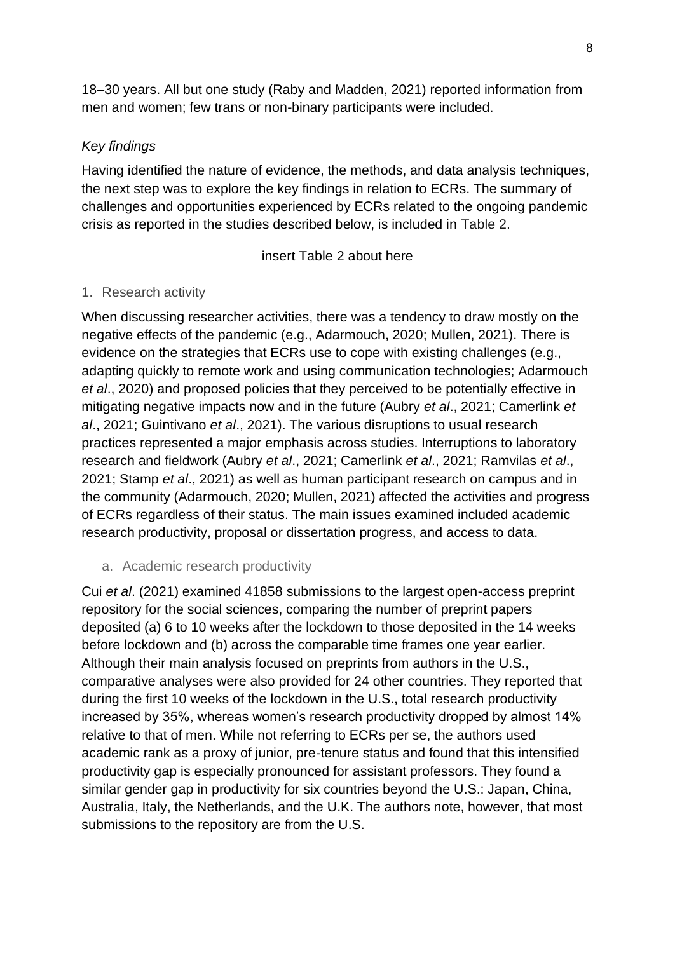18–30 years. All but one study (Raby and Madden, 2021) reported information from men and women; few trans or non-binary participants were included.

# *Key findings*

Having identified the nature of evidence, the methods, and data analysis techniques, the next step was to explore the key findings in relation to ECRs. The summary of challenges and opportunities experienced by ECRs related to the ongoing pandemic crisis as reported in the studies described below, is included in Table 2.

insert Table 2 about here

# 1. Research activity

When discussing researcher activities, there was a tendency to draw mostly on the negative effects of the pandemic (e.g., Adarmouch, 2020; Mullen, 2021). There is evidence on the strategies that ECRs use to cope with existing challenges (e.g., adapting quickly to remote work and using communication technologies; Adarmouch *et al*., 2020) and proposed policies that they perceived to be potentially effective in mitigating negative impacts now and in the future (Aubry *et al*., 2021; Camerlink *et al*., 2021; Guintivano *et al*., 2021). The various disruptions to usual research practices represented a major emphasis across studies. Interruptions to laboratory research and fieldwork (Aubry *et al*., 2021; Camerlink *et al*., 2021; Ramvilas *et al*., 2021; Stamp *et al*., 2021) as well as human participant research on campus and in the community (Adarmouch, 2020; Mullen, 2021) affected the activities and progress of ECRs regardless of their status. The main issues examined included academic research productivity, proposal or dissertation progress, and access to data.

a. Academic research productivity

Cui *et al*. (2021) examined 41858 submissions to the largest open-access preprint repository for the social sciences, comparing the number of preprint papers deposited (a) 6 to 10 weeks after the lockdown to those deposited in the 14 weeks before lockdown and (b) across the comparable time frames one year earlier. Although their main analysis focused on preprints from authors in the U.S., comparative analyses were also provided for 24 other countries. They reported that during the first 10 weeks of the lockdown in the U.S., total research productivity increased by 35%, whereas women's research productivity dropped by almost 14% relative to that of men. While not referring to ECRs per se, the authors used academic rank as a proxy of junior, pre-tenure status and found that this intensified productivity gap is especially pronounced for assistant professors. They found a similar gender gap in productivity for six countries beyond the U.S.: Japan, China, Australia, Italy, the Netherlands, and the U.K. The authors note, however, that most submissions to the repository are from the U.S.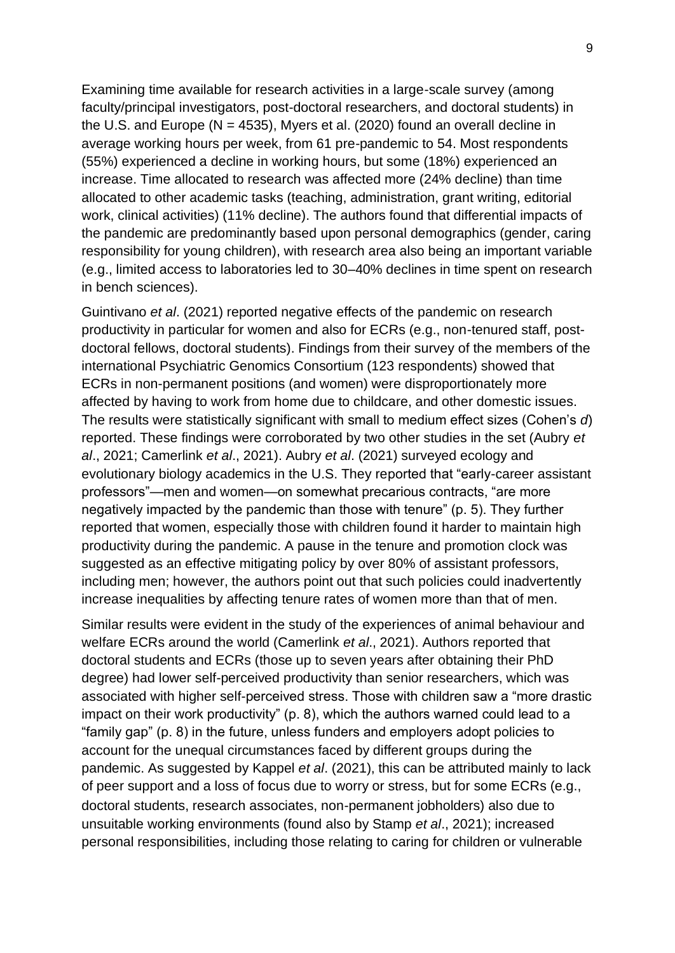Examining time available for research activities in a large-scale survey (among faculty/principal investigators, post-doctoral researchers, and doctoral students) in the U.S. and Europe ( $N = 4535$ ), Myers et al. (2020) found an overall decline in average working hours per week, from 61 pre-pandemic to 54. Most respondents (55%) experienced a decline in working hours, but some (18%) experienced an increase. Time allocated to research was affected more (24% decline) than time allocated to other academic tasks (teaching, administration, grant writing, editorial work, clinical activities) (11% decline). The authors found that differential impacts of the pandemic are predominantly based upon personal demographics (gender, caring responsibility for young children), with research area also being an important variable (e.g., limited access to laboratories led to 30–40% declines in time spent on research in bench sciences).

Guintivano *et al*. (2021) reported negative effects of the pandemic on research productivity in particular for women and also for ECRs (e.g., non-tenured staff, postdoctoral fellows, doctoral students). Findings from their survey of the members of the international Psychiatric Genomics Consortium (123 respondents) showed that ECRs in non-permanent positions (and women) were disproportionately more affected by having to work from home due to childcare, and other domestic issues. The results were statistically significant with small to medium effect sizes (Cohen's *d*) reported. These findings were corroborated by two other studies in the set (Aubry *et al*., 2021; Camerlink *et al*., 2021). Aubry *et al*. (2021) surveyed ecology and evolutionary biology academics in the U.S. They reported that "early-career assistant professors"—men and women—on somewhat precarious contracts, "are more negatively impacted by the pandemic than those with tenure" (p. 5). They further reported that women, especially those with children found it harder to maintain high productivity during the pandemic. A pause in the tenure and promotion clock was suggested as an effective mitigating policy by over 80% of assistant professors, including men; however, the authors point out that such policies could inadvertently increase inequalities by affecting tenure rates of women more than that of men.

Similar results were evident in the study of the experiences of animal behaviour and welfare ECRs around the world (Camerlink *et al*., 2021). Authors reported that doctoral students and ECRs (those up to seven years after obtaining their PhD degree) had lower self-perceived productivity than senior researchers, which was associated with higher self-perceived stress. Those with children saw a "more drastic impact on their work productivity" (p. 8), which the authors warned could lead to a "family gap" (p. 8) in the future, unless funders and employers adopt policies to account for the unequal circumstances faced by different groups during the pandemic. As suggested by Kappel *et al*. (2021), this can be attributed mainly to lack of peer support and a loss of focus due to worry or stress, but for some ECRs (e.g., doctoral students, research associates, non-permanent jobholders) also due to unsuitable working environments (found also by Stamp *et al*., 2021); increased personal responsibilities, including those relating to caring for children or vulnerable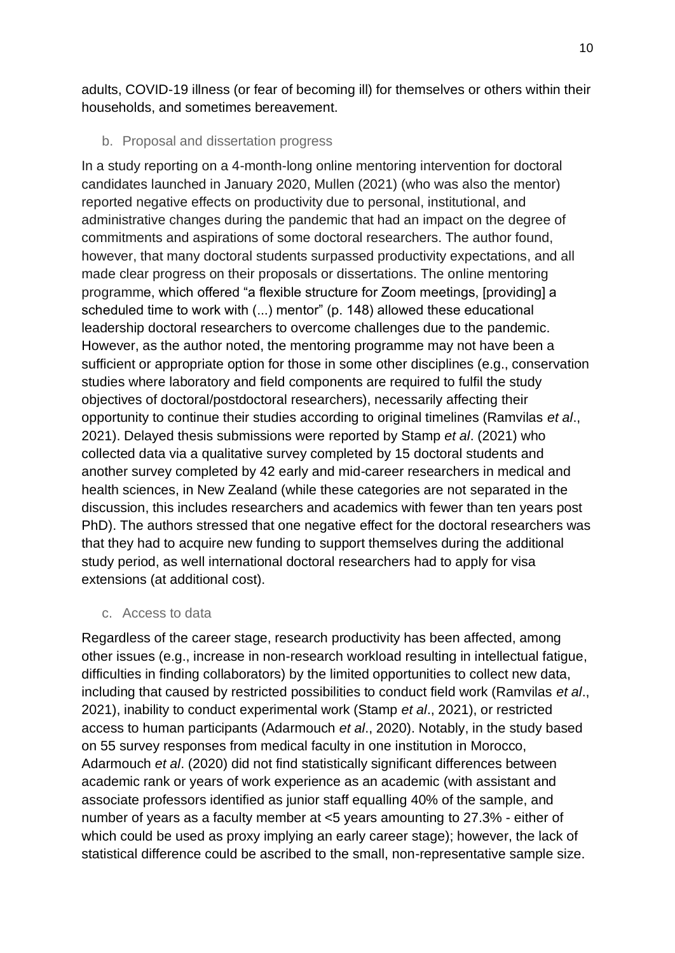adults, COVID-19 illness (or fear of becoming ill) for themselves or others within their households, and sometimes bereavement.

## b. Proposal and dissertation progress

In a study reporting on a 4-month-long online mentoring intervention for doctoral candidates launched in January 2020, Mullen (2021) (who was also the mentor) reported negative effects on productivity due to personal, institutional, and administrative changes during the pandemic that had an impact on the degree of commitments and aspirations of some doctoral researchers. The author found, however, that many doctoral students surpassed productivity expectations, and all made clear progress on their proposals or dissertations. The online mentoring programme, which offered "a flexible structure for Zoom meetings, [providing] a scheduled time to work with (...) mentor" (p. 148) allowed these educational leadership doctoral researchers to overcome challenges due to the pandemic. However, as the author noted, the mentoring programme may not have been a sufficient or appropriate option for those in some other disciplines (e.g., conservation studies where laboratory and field components are required to fulfil the study objectives of doctoral/postdoctoral researchers), necessarily affecting their opportunity to continue their studies according to original timelines (Ramvilas *et al*., 2021). Delayed thesis submissions were reported by Stamp *et al*. (2021) who collected data via a qualitative survey completed by 15 doctoral students and another survey completed by 42 early and mid-career researchers in medical and health sciences, in New Zealand (while these categories are not separated in the discussion, this includes researchers and academics with fewer than ten years post PhD). The authors stressed that one negative effect for the doctoral researchers was that they had to acquire new funding to support themselves during the additional study period, as well international doctoral researchers had to apply for visa extensions (at additional cost).

## c. Access to data

Regardless of the career stage, research productivity has been affected, among other issues (e.g., increase in non-research workload resulting in intellectual fatigue, difficulties in finding collaborators) by the limited opportunities to collect new data, including that caused by restricted possibilities to conduct field work (Ramvilas *et al*., 2021), inability to conduct experimental work (Stamp *et al*., 2021), or restricted access to human participants (Adarmouch *et al*., 2020). Notably, in the study based on 55 survey responses from medical faculty in one institution in Morocco, Adarmouch *et al*. (2020) did not find statistically significant differences between academic rank or years of work experience as an academic (with assistant and associate professors identified as junior staff equalling 40% of the sample, and number of years as a faculty member at <5 years amounting to 27.3% - either of which could be used as proxy implying an early career stage); however, the lack of statistical difference could be ascribed to the small, non-representative sample size.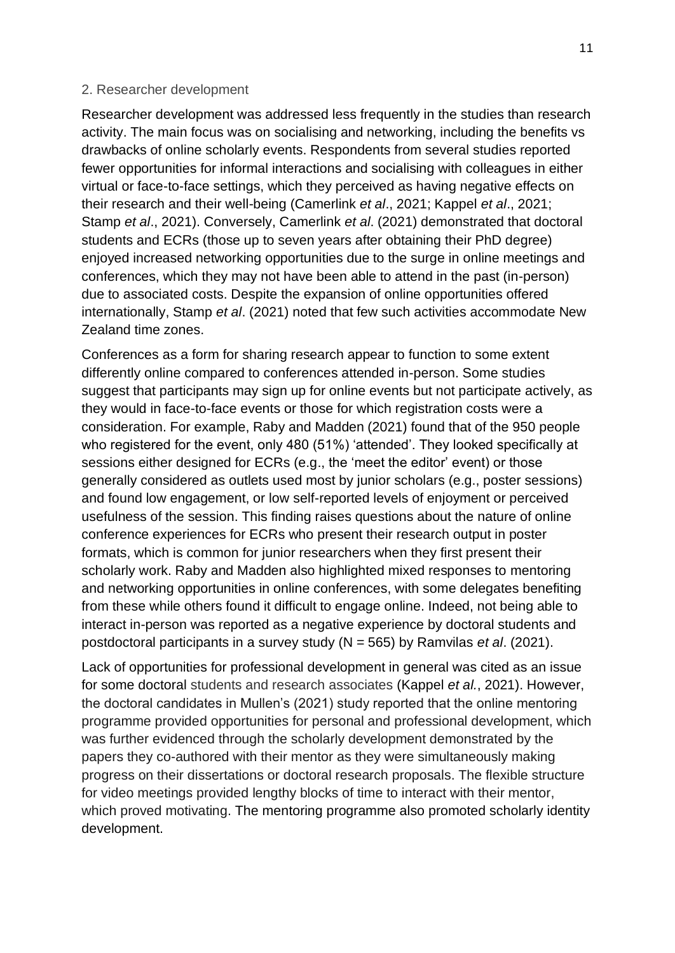### 2. Researcher development

Researcher development was addressed less frequently in the studies than research activity. The main focus was on socialising and networking, including the benefits vs drawbacks of online scholarly events. Respondents from several studies reported fewer opportunities for informal interactions and socialising with colleagues in either virtual or face-to-face settings, which they perceived as having negative effects on their research and their well-being (Camerlink *et al*., 2021; Kappel *et al*., 2021; Stamp *et al*., 2021). Conversely, Camerlink *et al*. (2021) demonstrated that doctoral students and ECRs (those up to seven years after obtaining their PhD degree) enjoyed increased networking opportunities due to the surge in online meetings and conferences, which they may not have been able to attend in the past (in-person) due to associated costs. Despite the expansion of online opportunities offered internationally, Stamp *et al*. (2021) noted that few such activities accommodate New Zealand time zones.

Conferences as a form for sharing research appear to function to some extent differently online compared to conferences attended in-person. Some studies suggest that participants may sign up for online events but not participate actively, as they would in face-to-face events or those for which registration costs were a consideration. For example, Raby and Madden (2021) found that of the 950 people who registered for the event, only 480 (51%) 'attended'. They looked specifically at sessions either designed for ECRs (e.g., the 'meet the editor' event) or those generally considered as outlets used most by junior scholars (e.g., poster sessions) and found low engagement, or low self-reported levels of enjoyment or perceived usefulness of the session. This finding raises questions about the nature of online conference experiences for ECRs who present their research output in poster formats, which is common for junior researchers when they first present their scholarly work. Raby and Madden also highlighted mixed responses to mentoring and networking opportunities in online conferences, with some delegates benefiting from these while others found it difficult to engage online. Indeed, not being able to interact in-person was reported as a negative experience by doctoral students and postdoctoral participants in a survey study (N = 565) by Ramvilas *et al*. (2021).

Lack of opportunities for professional development in general was cited as an issue for some doctoral students and research associates (Kappel *et al.*, 2021). However, the doctoral candidates in Mullen's (2021) study reported that the online mentoring programme provided opportunities for personal and professional development, which was further evidenced through the scholarly development demonstrated by the papers they co-authored with their mentor as they were simultaneously making progress on their dissertations or doctoral research proposals. The flexible structure for video meetings provided lengthy blocks of time to interact with their mentor, which proved motivating. The mentoring programme also promoted scholarly identity development.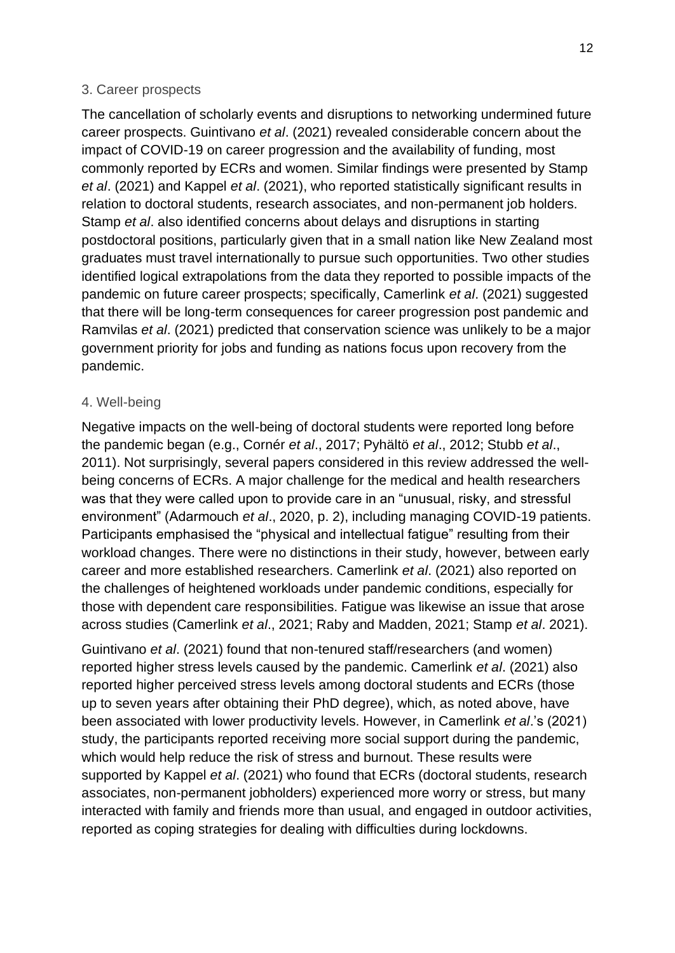## 3. Career prospects

The cancellation of scholarly events and disruptions to networking undermined future career prospects. Guintivano *et al*. (2021) revealed considerable concern about the impact of COVID-19 on career progression and the availability of funding, most commonly reported by ECRs and women. Similar findings were presented by Stamp *et al*. (2021) and Kappel *et al*. (2021), who reported statistically significant results in relation to doctoral students, research associates, and non-permanent job holders. Stamp *et al*. also identified concerns about delays and disruptions in starting postdoctoral positions, particularly given that in a small nation like New Zealand most graduates must travel internationally to pursue such opportunities. Two other studies identified logical extrapolations from the data they reported to possible impacts of the pandemic on future career prospects; specifically, Camerlink *et al*. (2021) suggested that there will be long-term consequences for career progression post pandemic and Ramvilas *et al*. (2021) predicted that conservation science was unlikely to be a major government priority for jobs and funding as nations focus upon recovery from the pandemic.

## 4. Well-being

Negative impacts on the well-being of doctoral students were reported long before the pandemic began (e.g., Cornér *et al*., 2017; Pyhältö *et al*., 2012; Stubb *et al*., 2011). Not surprisingly, several papers considered in this review addressed the wellbeing concerns of ECRs. A major challenge for the medical and health researchers was that they were called upon to provide care in an "unusual, risky, and stressful environment" (Adarmouch *et al*., 2020, p. 2), including managing COVID-19 patients. Participants emphasised the "physical and intellectual fatigue" resulting from their workload changes. There were no distinctions in their study, however, between early career and more established researchers. Camerlink *et al*. (2021) also reported on the challenges of heightened workloads under pandemic conditions, especially for those with dependent care responsibilities. Fatigue was likewise an issue that arose across studies (Camerlink *et al*., 2021; Raby and Madden, 2021; Stamp *et al*. 2021).

Guintivano *et al*. (2021) found that non-tenured staff/researchers (and women) reported higher stress levels caused by the pandemic. Camerlink *et al*. (2021) also reported higher perceived stress levels among doctoral students and ECRs (those up to seven years after obtaining their PhD degree), which, as noted above, have been associated with lower productivity levels. However, in Camerlink *et al*.'s (2021) study, the participants reported receiving more social support during the pandemic, which would help reduce the risk of stress and burnout. These results were supported by Kappel *et al*. (2021) who found that ECRs (doctoral students, research associates, non-permanent jobholders) experienced more worry or stress, but many interacted with family and friends more than usual, and engaged in outdoor activities, reported as coping strategies for dealing with difficulties during lockdowns.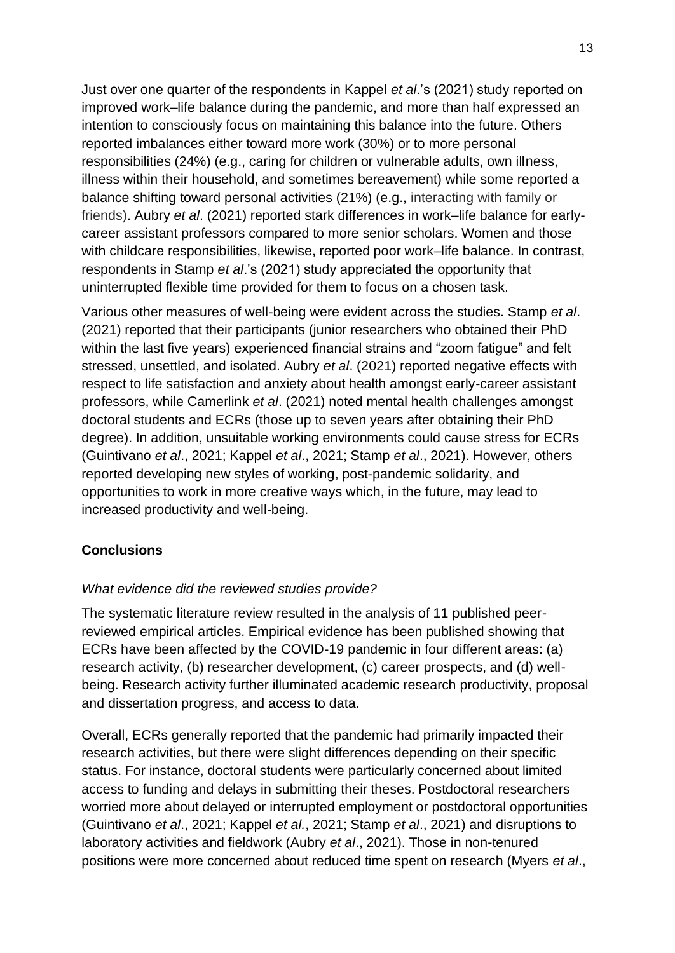Just over one quarter of the respondents in Kappel *et al*.'s (2021) study reported on improved work–life balance during the pandemic, and more than half expressed an intention to consciously focus on maintaining this balance into the future. Others reported imbalances either toward more work (30%) or to more personal responsibilities (24%) (e.g., caring for children or vulnerable adults, own illness, illness within their household, and sometimes bereavement) while some reported a balance shifting toward personal activities (21%) (e.g., interacting with family or friends). Aubry *et al*. (2021) reported stark differences in work–life balance for earlycareer assistant professors compared to more senior scholars. Women and those with childcare responsibilities, likewise, reported poor work–life balance. In contrast, respondents in Stamp *et al*.'s (2021) study appreciated the opportunity that uninterrupted flexible time provided for them to focus on a chosen task.

Various other measures of well-being were evident across the studies. Stamp *et al*. (2021) reported that their participants (junior researchers who obtained their PhD within the last five years) experienced financial strains and "zoom fatigue" and felt stressed, unsettled, and isolated. Aubry *et al*. (2021) reported negative effects with respect to life satisfaction and anxiety about health amongst early-career assistant professors, while Camerlink *et al*. (2021) noted mental health challenges amongst doctoral students and ECRs (those up to seven years after obtaining their PhD degree). In addition, unsuitable working environments could cause stress for ECRs (Guintivano *et al*., 2021; Kappel *et al*., 2021; Stamp *et al*., 2021). However, others reported developing new styles of working, post-pandemic solidarity, and opportunities to work in more creative ways which, in the future, may lead to increased productivity and well-being.

## **Conclusions**

## *What evidence did the reviewed studies provide?*

The systematic literature review resulted in the analysis of 11 published peerreviewed empirical articles. Empirical evidence has been published showing that ECRs have been affected by the COVID-19 pandemic in four different areas: (a) research activity, (b) researcher development, (c) career prospects, and (d) wellbeing. Research activity further illuminated academic research productivity, proposal and dissertation progress, and access to data.

Overall, ECRs generally reported that the pandemic had primarily impacted their research activities, but there were slight differences depending on their specific status. For instance, doctoral students were particularly concerned about limited access to funding and delays in submitting their theses. Postdoctoral researchers worried more about delayed or interrupted employment or postdoctoral opportunities (Guintivano *et al*., 2021; Kappel *et al.*, 2021; Stamp *et al*., 2021) and disruptions to laboratory activities and fieldwork (Aubry *et al*., 2021). Those in non-tenured positions were more concerned about reduced time spent on research (Myers *et al*.,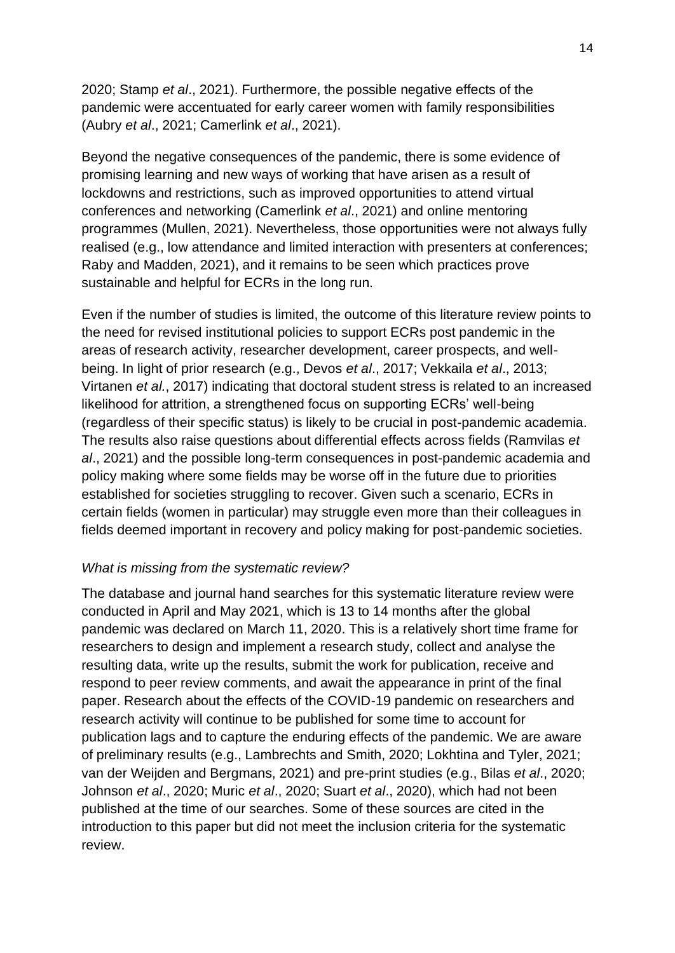2020; Stamp *et al*., 2021). Furthermore, the possible negative effects of the pandemic were accentuated for early career women with family responsibilities (Aubry *et al*., 2021; Camerlink *et al*., 2021).

Beyond the negative consequences of the pandemic, there is some evidence of promising learning and new ways of working that have arisen as a result of lockdowns and restrictions, such as improved opportunities to attend virtual conferences and networking (Camerlink *et al*., 2021) and online mentoring programmes (Mullen, 2021). Nevertheless, those opportunities were not always fully realised (e.g., low attendance and limited interaction with presenters at conferences; Raby and Madden, 2021), and it remains to be seen which practices prove sustainable and helpful for ECRs in the long run.

Even if the number of studies is limited, the outcome of this literature review points to the need for revised institutional policies to support ECRs post pandemic in the areas of research activity, researcher development, career prospects, and wellbeing. In light of prior research (e.g., Devos *et al*., 2017; Vekkaila *et al*., 2013; Virtanen *et al.*, 2017) indicating that doctoral student stress is related to an increased likelihood for attrition, a strengthened focus on supporting ECRs' well-being (regardless of their specific status) is likely to be crucial in post-pandemic academia. The results also raise questions about differential effects across fields (Ramvilas *et al*., 2021) and the possible long-term consequences in post-pandemic academia and policy making where some fields may be worse off in the future due to priorities established for societies struggling to recover. Given such a scenario, ECRs in certain fields (women in particular) may struggle even more than their colleagues in fields deemed important in recovery and policy making for post-pandemic societies.

# *What is missing from the systematic review?*

The database and journal hand searches for this systematic literature review were conducted in April and May 2021, which is 13 to 14 months after the global pandemic was declared on March 11, 2020. This is a relatively short time frame for researchers to design and implement a research study, collect and analyse the resulting data, write up the results, submit the work for publication, receive and respond to peer review comments, and await the appearance in print of the final paper. Research about the effects of the COVID-19 pandemic on researchers and research activity will continue to be published for some time to account for publication lags and to capture the enduring effects of the pandemic. We are aware of preliminary results (e.g., Lambrechts and Smith, 2020; Lokhtina and Tyler, 2021; van der Weijden and Bergmans, 2021) and pre-print studies (e.g., Bilas *et al*., 2020; Johnson *et al*., 2020; Muric *et al*., 2020; Suart *et al*., 2020), which had not been published at the time of our searches. Some of these sources are cited in the introduction to this paper but did not meet the inclusion criteria for the systematic review.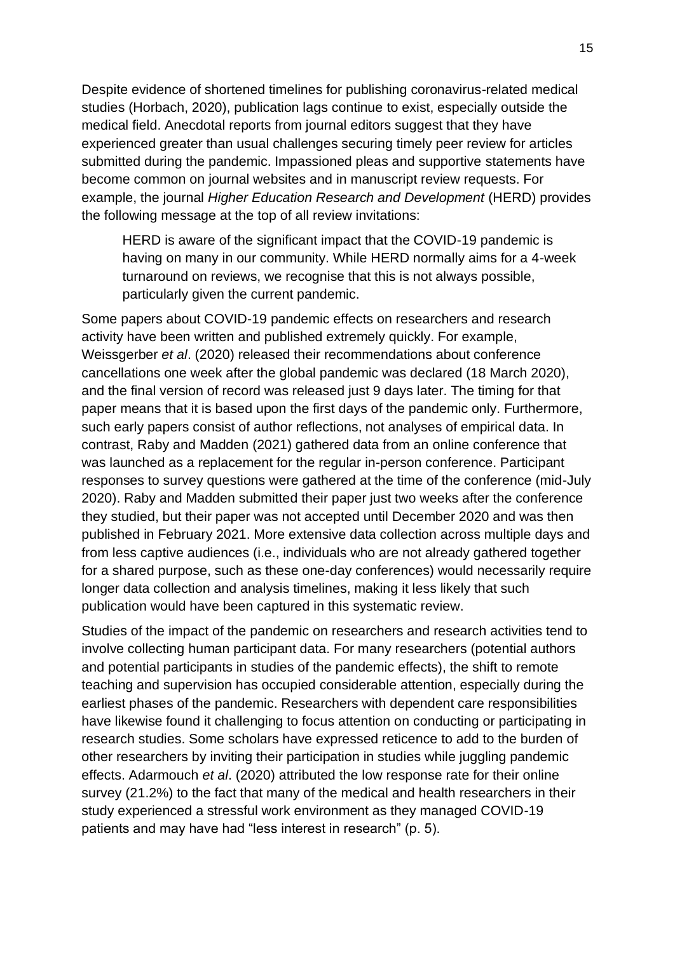Despite evidence of shortened timelines for publishing coronavirus-related medical studies (Horbach, 2020), publication lags continue to exist, especially outside the medical field. Anecdotal reports from journal editors suggest that they have experienced greater than usual challenges securing timely peer review for articles submitted during the pandemic. Impassioned pleas and supportive statements have become common on journal websites and in manuscript review requests. For example, the journal *Higher Education Research and Development* (HERD) provides the following message at the top of all review invitations:

HERD is aware of the significant impact that the COVID-19 pandemic is having on many in our community. While HERD normally aims for a 4-week turnaround on reviews, we recognise that this is not always possible, particularly given the current pandemic.

Some papers about COVID-19 pandemic effects on researchers and research activity have been written and published extremely quickly. For example, Weissgerber *et al*. (2020) released their recommendations about conference cancellations one week after the global pandemic was declared (18 March 2020), and the final version of record was released just 9 days later. The timing for that paper means that it is based upon the first days of the pandemic only. Furthermore, such early papers consist of author reflections, not analyses of empirical data. In contrast, Raby and Madden (2021) gathered data from an online conference that was launched as a replacement for the regular in-person conference. Participant responses to survey questions were gathered at the time of the conference (mid-July 2020). Raby and Madden submitted their paper just two weeks after the conference they studied, but their paper was not accepted until December 2020 and was then published in February 2021. More extensive data collection across multiple days and from less captive audiences (i.e., individuals who are not already gathered together for a shared purpose, such as these one-day conferences) would necessarily require longer data collection and analysis timelines, making it less likely that such publication would have been captured in this systematic review.

Studies of the impact of the pandemic on researchers and research activities tend to involve collecting human participant data. For many researchers (potential authors and potential participants in studies of the pandemic effects), the shift to remote teaching and supervision has occupied considerable attention, especially during the earliest phases of the pandemic. Researchers with dependent care responsibilities have likewise found it challenging to focus attention on conducting or participating in research studies. Some scholars have expressed reticence to add to the burden of other researchers by inviting their participation in studies while juggling pandemic effects. Adarmouch *et al*. (2020) attributed the low response rate for their online survey (21.2%) to the fact that many of the medical and health researchers in their study experienced a stressful work environment as they managed COVID-19 patients and may have had "less interest in research" (p. 5).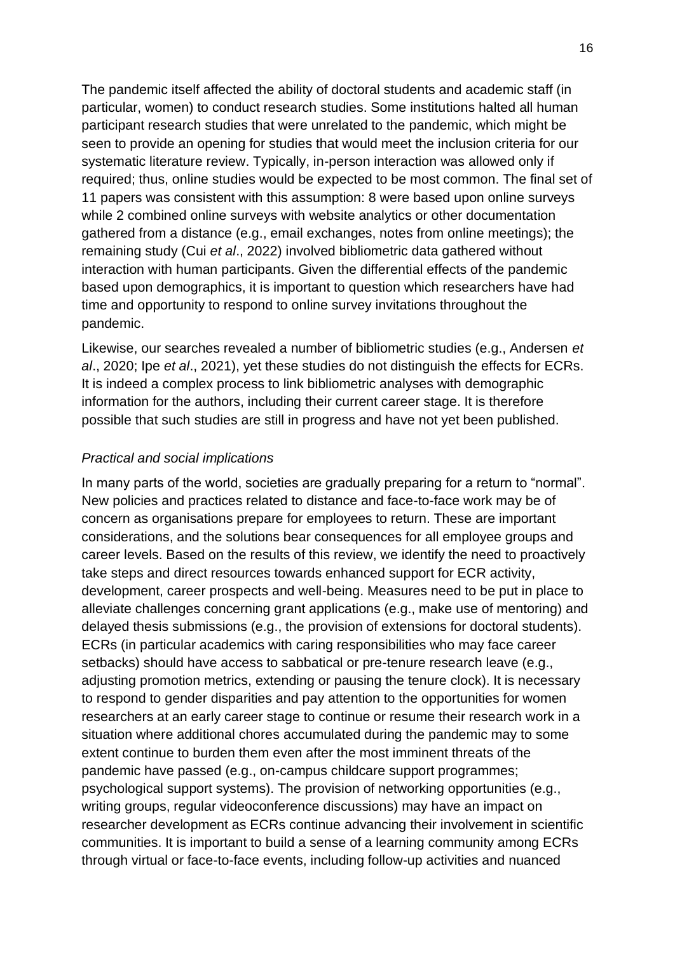The pandemic itself affected the ability of doctoral students and academic staff (in particular, women) to conduct research studies. Some institutions halted all human participant research studies that were unrelated to the pandemic, which might be seen to provide an opening for studies that would meet the inclusion criteria for our systematic literature review. Typically, in-person interaction was allowed only if required; thus, online studies would be expected to be most common. The final set of 11 papers was consistent with this assumption: 8 were based upon online surveys while 2 combined online surveys with website analytics or other documentation gathered from a distance (e.g., email exchanges, notes from online meetings); the remaining study (Cui *et al*., 2022) involved bibliometric data gathered without interaction with human participants. Given the differential effects of the pandemic based upon demographics, it is important to question which researchers have had time and opportunity to respond to online survey invitations throughout the pandemic.

Likewise, our searches revealed a number of bibliometric studies (e.g., Andersen *et al*., 2020; Ipe *et al*., 2021), yet these studies do not distinguish the effects for ECRs. It is indeed a complex process to link bibliometric analyses with demographic information for the authors, including their current career stage. It is therefore possible that such studies are still in progress and have not yet been published.

## *Practical and social implications*

In many parts of the world, societies are gradually preparing for a return to "normal". New policies and practices related to distance and face-to-face work may be of concern as organisations prepare for employees to return. These are important considerations, and the solutions bear consequences for all employee groups and career levels. Based on the results of this review, we identify the need to proactively take steps and direct resources towards enhanced support for ECR activity, development, career prospects and well-being. Measures need to be put in place to alleviate challenges concerning grant applications (e.g., make use of mentoring) and delayed thesis submissions (e.g., the provision of extensions for doctoral students). ECRs (in particular academics with caring responsibilities who may face career setbacks) should have access to sabbatical or pre-tenure research leave (e.g., adjusting promotion metrics, extending or pausing the tenure clock). It is necessary to respond to gender disparities and pay attention to the opportunities for women researchers at an early career stage to continue or resume their research work in a situation where additional chores accumulated during the pandemic may to some extent continue to burden them even after the most imminent threats of the pandemic have passed (e.g., on-campus childcare support programmes; psychological support systems). The provision of networking opportunities (e.g., writing groups, regular videoconference discussions) may have an impact on researcher development as ECRs continue advancing their involvement in scientific communities. It is important to build a sense of a learning community among ECRs through virtual or face-to-face events, including follow-up activities and nuanced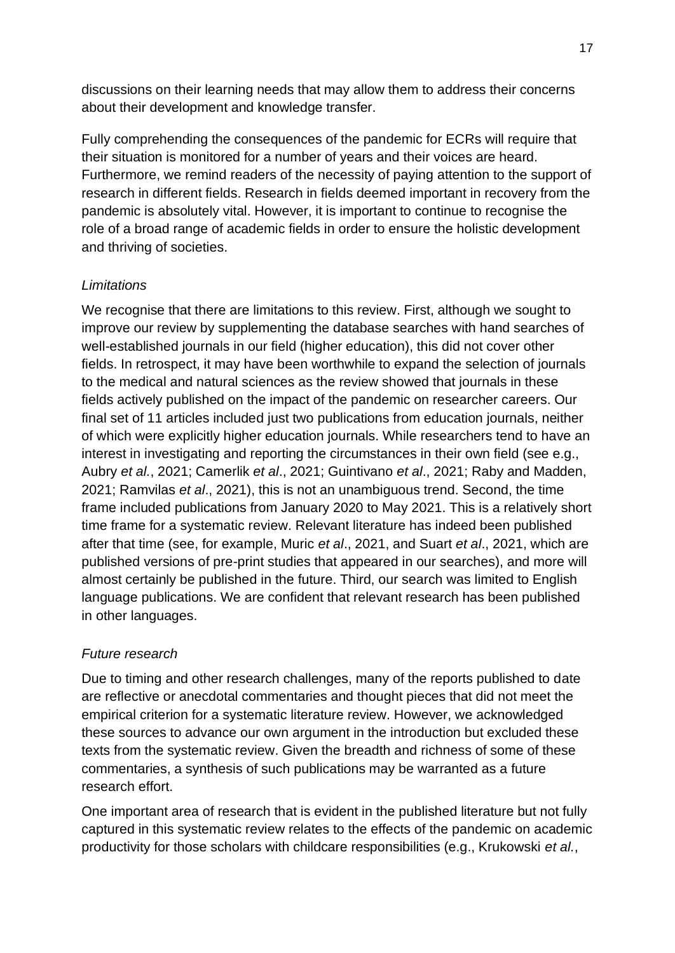discussions on their learning needs that may allow them to address their concerns about their development and knowledge transfer.

Fully comprehending the consequences of the pandemic for ECRs will require that their situation is monitored for a number of years and their voices are heard. Furthermore, we remind readers of the necessity of paying attention to the support of research in different fields. Research in fields deemed important in recovery from the pandemic is absolutely vital. However, it is important to continue to recognise the role of a broad range of academic fields in order to ensure the holistic development and thriving of societies.

# *Limitations*

We recognise that there are limitations to this review. First, although we sought to improve our review by supplementing the database searches with hand searches of well-established journals in our field (higher education), this did not cover other fields. In retrospect, it may have been worthwhile to expand the selection of journals to the medical and natural sciences as the review showed that journals in these fields actively published on the impact of the pandemic on researcher careers. Our final set of 11 articles included just two publications from education journals, neither of which were explicitly higher education journals. While researchers tend to have an interest in investigating and reporting the circumstances in their own field (see e.g., Aubry *et al.*, 2021; Camerlik *et al*., 2021; Guintivano *et al*., 2021; Raby and Madden, 2021; Ramvilas *et al*., 2021), this is not an unambiguous trend. Second, the time frame included publications from January 2020 to May 2021. This is a relatively short time frame for a systematic review. Relevant literature has indeed been published after that time (see, for example, Muric *et al*., 2021, and Suart *et al*., 2021, which are published versions of pre-print studies that appeared in our searches), and more will almost certainly be published in the future. Third, our search was limited to English language publications. We are confident that relevant research has been published in other languages.

# *Future research*

Due to timing and other research challenges, many of the reports published to date are reflective or anecdotal commentaries and thought pieces that did not meet the empirical criterion for a systematic literature review. However, we acknowledged these sources to advance our own argument in the introduction but excluded these texts from the systematic review. Given the breadth and richness of some of these commentaries, a synthesis of such publications may be warranted as a future research effort.

One important area of research that is evident in the published literature but not fully captured in this systematic review relates to the effects of the pandemic on academic productivity for those scholars with childcare responsibilities (e.g., Krukowski *et al.*,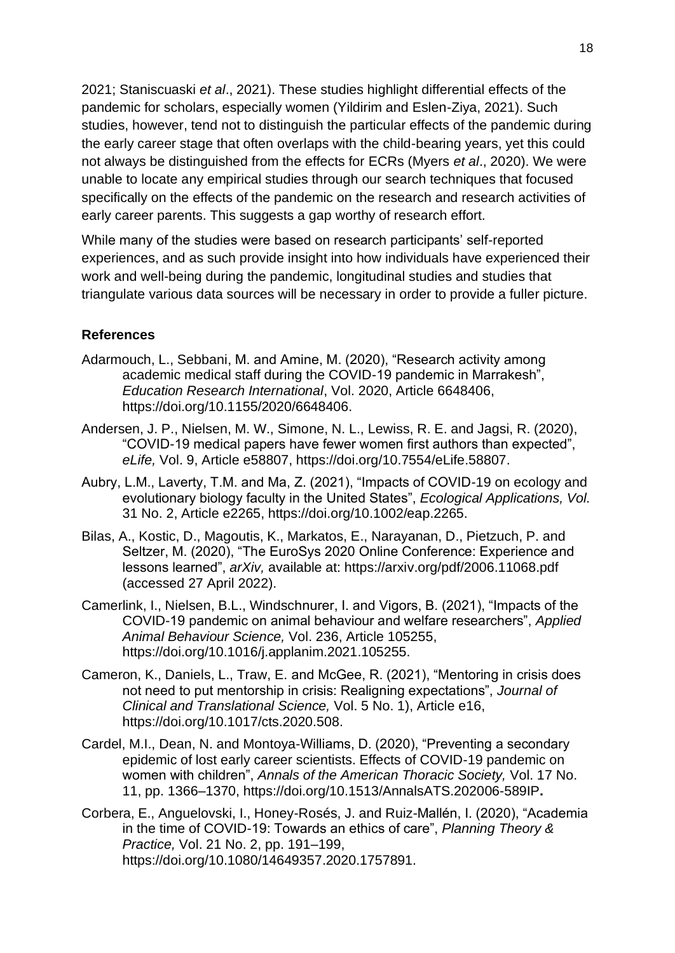2021; Staniscuaski *et al*., 2021). These studies highlight differential effects of the pandemic for scholars, especially women (Yildirim and Eslen-Ziya, 2021). Such studies, however, tend not to distinguish the particular effects of the pandemic during the early career stage that often overlaps with the child-bearing years, yet this could not always be distinguished from the effects for ECRs (Myers *et al*., 2020). We were unable to locate any empirical studies through our search techniques that focused specifically on the effects of the pandemic on the research and research activities of early career parents. This suggests a gap worthy of research effort.

While many of the studies were based on research participants' self-reported experiences, and as such provide insight into how individuals have experienced their work and well-being during the pandemic, longitudinal studies and studies that triangulate various data sources will be necessary in order to provide a fuller picture.

## **References**

- Adarmouch, L., Sebbani, M. and Amine, M. (2020), "Research activity among academic medical staff during the COVID-19 pandemic in Marrakesh", *Education Research International*, Vol. 2020, Article 6648406, https://doi.org/10.1155/2020/6648406.
- Andersen, J. P., Nielsen, M. W., Simone, N. L., Lewiss, R. E. and Jagsi, R. (2020), "COVID-19 medical papers have fewer women first authors than expected", *eLife,* Vol. 9, Article e58807, https://doi.org[/10.7554/eLife.58807.](https://doi.org/10.7554/eLife.58807)
- Aubry, L.M., Laverty, T.M. and Ma, Z. (2021), "Impacts of COVID-19 on ecology and evolutionary biology faculty in the United States", *Ecological Applications, Vol.*  31 No. 2, Article e2265, https://doi.org/10.1002/eap.2265.
- Bilas, A., Kostic, D., Magoutis, K., Markatos, E., Narayanan, D., Pietzuch, P. and Seltzer, M. (2020), "The EuroSys 2020 Online Conference: Experience and lessons learned", *arXiv,* available at:<https://arxiv.org/pdf/2006.11068.pdf> (accessed 27 April 2022).
- Camerlink, I., Nielsen, B.L., Windschnurer, I. and Vigors, B. (2021), "Impacts of the COVID-19 pandemic on animal behaviour and welfare researchers", *Applied Animal Behaviour Science,* Vol. 236, Article 105255, https://doi.org/10.1016/j.applanim.2021.105255.
- Cameron, K., Daniels, L., Traw, E. and McGee, R. (2021), "Mentoring in crisis does not need to put mentorship in crisis: Realigning expectations", *Journal of Clinical and Translational Science,* Vol. 5 No. 1), Article e16, https://doi.org/10.1017/cts.2020.508.
- Cardel, M.I., Dean, N. and Montoya-Williams, D. (2020), "Preventing a secondary epidemic of lost early career scientists. Effects of COVID-19 pandemic on women with children", *Annals of the American Thoracic Society,* Vol. 17 No. 11, pp. 1366–1370, https://doi.org/10.1513/AnnalsATS.202006-589IP**.**
- Corbera, E., Anguelovski, I., Honey-Rosés, J. and Ruiz-Mallén, I. (2020), "Academia in the time of COVID-19: Towards an ethics of care", *Planning Theory & Practice,* Vol. 21 No. 2, pp. 191–199, https://doi.org/10.1080/14649357.2020.1757891.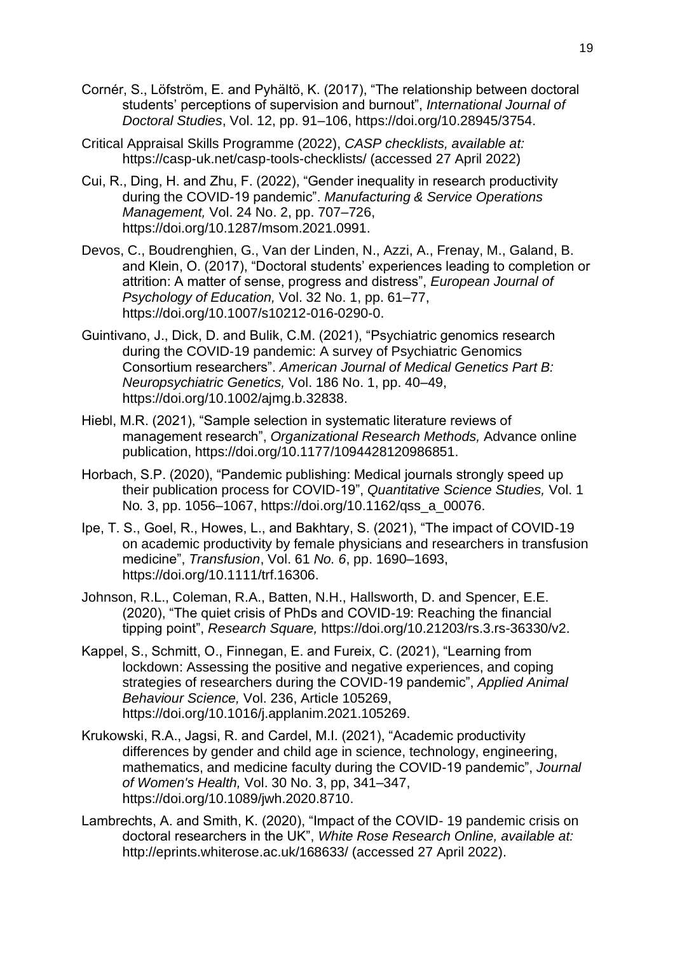- Cornér, S., Löfström, E. and Pyhältö, K. (2017), "The relationship between doctoral students' perceptions of supervision and burnout", *International Journal of Doctoral Studies*, Vol. 12, pp. 91–106, https://doi.org/10.28945/3754.
- Critical Appraisal Skills Programme (2022), *CASP checklists, available at:* <https://casp-uk.net/casp-tools-checklists/> (accessed 27 April 2022)
- Cui, R., Ding, H. and Zhu, F. (2022), "Gender inequality in research productivity during the COVID-19 pandemic". *Manufacturing & Service Operations Management,* Vol. 24 No. 2, pp. 707–726, https://doi.org/10.1287/msom.2021.0991.
- Devos, C., Boudrenghien, G., Van der Linden, N., Azzi, A., Frenay, M., Galand, B. and Klein, O. (2017), "Doctoral students' experiences leading to completion or attrition: A matter of sense, progress and distress", *European Journal of Psychology of Education,* Vol. 32 No. 1, pp. 61–77, https://doi.org/10.1007/s10212-016-0290-0.
- Guintivano, J., Dick, D. and Bulik, C.M. (2021), "Psychiatric genomics research during the COVID‐19 pandemic: A survey of Psychiatric Genomics Consortium researchers". *American Journal of Medical Genetics Part B: Neuropsychiatric Genetics,* Vol. 186 No. 1, pp. 40–49, https://doi.org/10.1002/ajmg.b.32838.
- Hiebl, M.R. (2021), "Sample selection in systematic literature reviews of management research", *Organizational Research Methods,* Advance online publication, https://doi.org/10.1177/1094428120986851.
- Horbach, S.P. (2020), "Pandemic publishing: Medical journals strongly speed up their publication process for COVID-19", *Quantitative Science Studies,* Vol. 1 No*.* 3, pp. 1056–1067, https://doi.org/10.1162/qss\_a\_00076.
- Ipe, T. S., Goel, R., Howes, L., and Bakhtary, S. (2021), "The impact of COVID-19 on academic productivity by female physicians and researchers in transfusion medicine", *Transfusion*, Vol. 61 *No. 6*, pp. 1690–1693, https://doi.org/10.1111/trf.16306.
- Johnson, R.L., Coleman, R.A., Batten, N.H., Hallsworth, D. and Spencer, E.E. (2020), "The quiet crisis of PhDs and COVID-19: Reaching the financial tipping point", *Research Square,* https://doi.org/10.21203/rs.3.rs-36330/v2.
- Kappel, S., Schmitt, O., Finnegan, E. and Fureix, C. (2021), "Learning from lockdown: Assessing the positive and negative experiences, and coping strategies of researchers during the COVID-19 pandemic", *Applied Animal Behaviour Science,* Vol. 236, Article 105269, https://doi.org/10.1016/j.applanim.2021.105269.
- Krukowski, R.A., Jagsi, R. and Cardel, M.I. (2021), "Academic productivity differences by gender and child age in science, technology, engineering, mathematics, and medicine faculty during the COVID-19 pandemic", *Journal of Women's Health,* Vol. 30 No. 3, pp, 341–347, https://doi.org/10.1089/jwh.2020.8710.
- Lambrechts, A. and Smith, K. (2020), "Impact of the COVID- 19 pandemic crisis on doctoral researchers in the UK", *White Rose Research Online, available at:* <http://eprints.whiterose.ac.uk/168633/> (accessed 27 April 2022).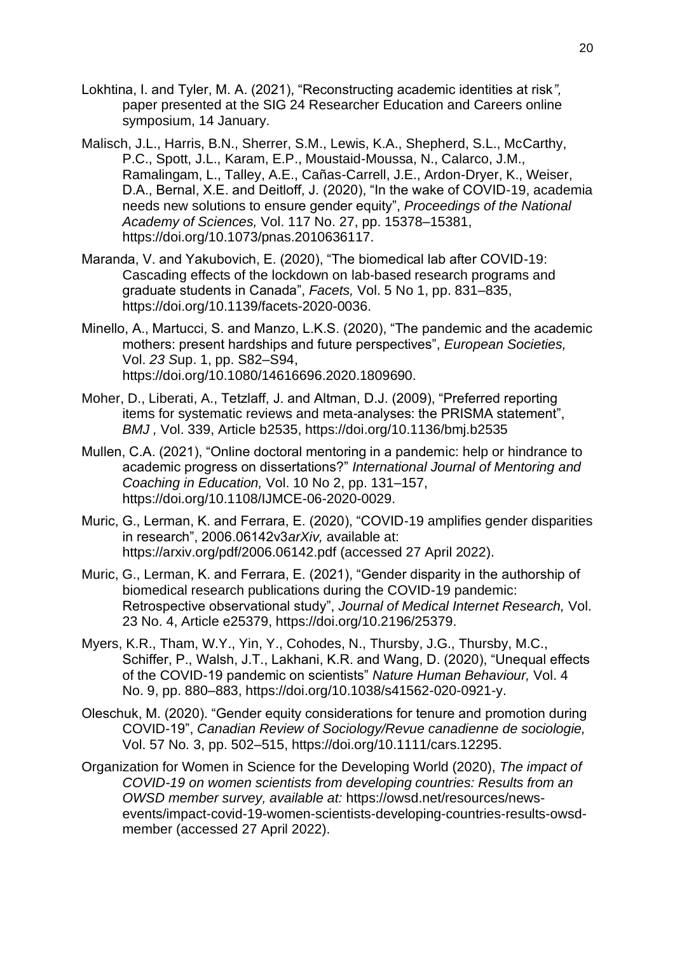- Lokhtina, I. and Tyler, M. A. (2021), "Reconstructing academic identities at risk*",*  paper presented at the SIG 24 Researcher Education and Careers online symposium, 14 January.
- Malisch, J.L., Harris, B.N., Sherrer, S.M., Lewis, K.A., Shepherd, S.L., McCarthy, P.C., Spott, J.L., Karam, E.P., Moustaid-Moussa, N., Calarco, J.M., Ramalingam, L., Talley, A.E., Cañas-Carrell, J.E., Ardon-Dryer, K., Weiser, D.A., Bernal, X.E. and Deitloff, J. (2020), "In the wake of COVID-19, academia needs new solutions to ensure gender equity", *Proceedings of the National Academy of Sciences,* Vol. 117 No. 27, pp. 15378–15381, https://doi.org/10.1073/pnas.2010636117.
- Maranda, V. and Yakubovich, E. (2020), "The biomedical lab after COVID-19: Cascading effects of the lockdown on lab-based research programs and graduate students in Canada", *Facets,* Vol. 5 No 1, pp. 831–835, https:/[/doi.](https://doi/)org/10.1139/facets-2020-0036.
- Minello, A., Martucci, S. and Manzo, L.K.S. (2020), "The pandemic and the academic mothers: present hardships and future perspectives", *European Societies,*  Vol. *23 S*up. 1, pp. S82–S94, https://doi.org/10.1080/14616696.2020.1809690.
- Moher, D., Liberati, A., Tetzlaff, J. and Altman, D.J. (2009), "Preferred reporting items for systematic reviews and meta-analyses: the PRISMA statement", *BMJ ,* Vol. 339, Article b2535, https://doi.org/10.1136/bmj.b2535
- Mullen, C.A. (2021), "Online doctoral mentoring in a pandemic: help or hindrance to academic progress on dissertations?" *International Journal of Mentoring and Coaching in Education,* Vol. 10 No 2, pp. 131–157, https://doi.org/10.1108/IJMCE-06-2020-0029.
- Muric, G., Lerman, K. and Ferrara, E. (2020), "COVID-19 amplifies gender disparities in research", 2006.06142v3*arXiv,* available at: <https://arxiv.org/pdf/2006.06142.pdf> (accessed 27 April 2022).
- Muric, G., Lerman, K. and Ferrara, E. (2021), "Gender disparity in the authorship of biomedical research publications during the COVID-19 pandemic: Retrospective observational study", *Journal of Medical Internet Research,* Vol. 23 No. 4, Article e25379, https://doi.org/10.2196/25379.
- Myers, K.R., Tham, W.Y., Yin, Y., Cohodes, N., Thursby, J.G., Thursby, M.C., Schiffer, P., Walsh, J.T., Lakhani, K.R. and Wang, D. (2020), "Unequal effects of the COVID-19 pandemic on scientists" *Nature Human Behaviour,* Vol. 4 No. 9, pp. 880–883, https://doi.org/10.1038/s41562-020-0921-y.
- Oleschuk, M. (2020). "Gender equity considerations for tenure and promotion during COVID-19", *Canadian Review of Sociology/Revue canadienne de sociologie,*  Vol. 57 No*.* 3, pp. 502–515, https://doi.org/10.1111/cars.12295.
- Organization for Women in Science for the Developing World (2020), *The impact of COVID-19 on women scientists from developing countries: Results from an OWSD member survey, available at:* [https://owsd.net/resources/news](https://owsd.net/resources/news-events/impact-covid-19-women-scientists-developing-countries-results-owsd-member)[events/impact-covid-19-women-scientists-developing-countries-results-owsd](https://owsd.net/resources/news-events/impact-covid-19-women-scientists-developing-countries-results-owsd-member)[member](https://owsd.net/resources/news-events/impact-covid-19-women-scientists-developing-countries-results-owsd-member) (accessed 27 April 2022).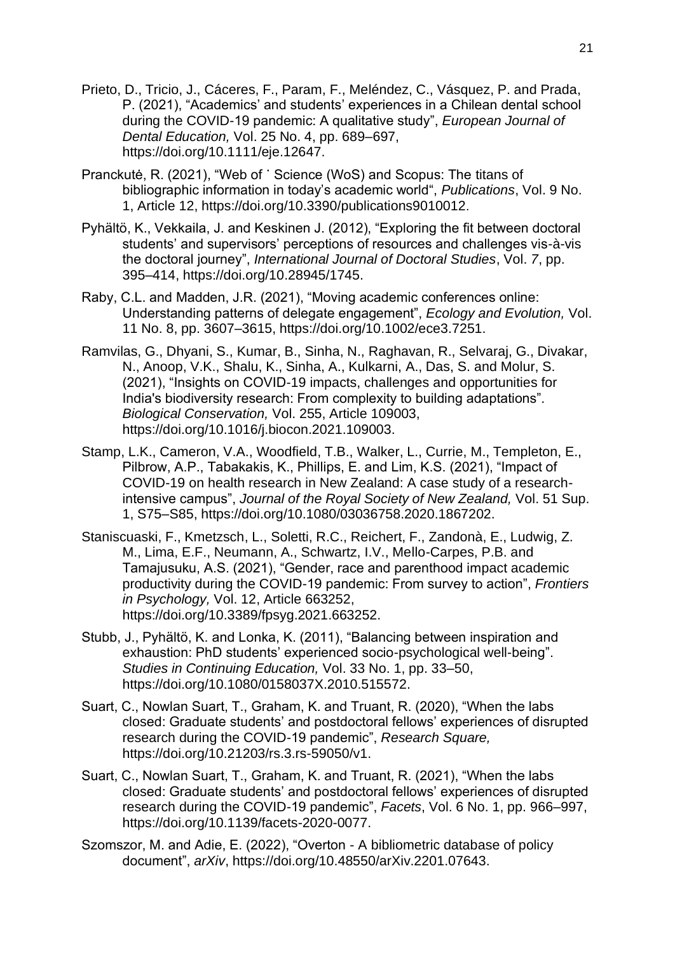- Prieto, D., Tricio, J., Cáceres, F., Param, F., Meléndez, C., Vásquez, P. and Prada, P. (2021), "Academics' and students' experiences in a Chilean dental school during the COVID-19 pandemic: A qualitative study", *European Journal of Dental Education,* Vol. 25 No. 4, pp. 689–697, https://doi.org/10.1111/eje.12647.
- Pranckutė, R. (2021), "Web of ˙ Science (WoS) and Scopus: The titans of bibliographic information in today's academic world", *Publications*, Vol. 9 No. 1, Article 12, https://doi.org[/10.3390/publications9010012](https://doi.org/10.3390/publications9010012).
- Pyhältö, K., Vekkaila, J. and Keskinen J. (2012), "Exploring the fit between doctoral students' and supervisors' perceptions of resources and challenges vis-à-vis the doctoral journey", *International Journal of Doctoral Studies*, Vol. *7*, pp. 395–414, https://doi.org/10.28945/1745.
- Raby, C.L. and Madden, J.R. (2021), "Moving academic conferences online: Understanding patterns of delegate engagement", *Ecology and Evolution,* Vol. 11 No. 8, pp. 3607–3615, https://doi.org/10.1002/ece3.7251.
- Ramvilas, G., Dhyani, S., Kumar, B., Sinha, N., Raghavan, R., Selvaraj, G., Divakar, N., Anoop, V.K., Shalu, K., Sinha, A., Kulkarni, A., Das, S. and Molur, S. (2021), "Insights on COVID-19 impacts, challenges and opportunities for India's biodiversity research: From complexity to building adaptations". *Biological Conservation,* Vol. 255, Article 109003, https://doi.org/10.1016/j.biocon.2021.109003.
- Stamp, L.K., Cameron, V.A., Woodfield, T.B., Walker, L., Currie, M., Templeton, E., Pilbrow, A.P., Tabakakis, K., Phillips, E. and Lim, K.S. (2021), "Impact of COVID-19 on health research in New Zealand: A case study of a researchintensive campus", *Journal of the Royal Society of New Zealand,* Vol. 51 Sup. 1, S75–S85, https://doi.org/10.1080/03036758.2020.1867202.
- Staniscuaski, F., Kmetzsch, L., Soletti, R.C., Reichert, F., Zandonà, E., Ludwig, Z. M., Lima, E.F., Neumann, A., Schwartz, I.V., Mello-Carpes, P.B. and Tamajusuku, A.S. (2021), "Gender, race and parenthood impact academic productivity during the COVID-19 pandemic: From survey to action", *Frontiers in Psychology,* Vol. 12, Article 663252, https://doi.org/10.3389/fpsyg.2021.663252.
- Stubb, J., Pyhältö, K. and Lonka, K. (2011), "Balancing between inspiration and exhaustion: PhD students' experienced socio-psychological well-being". *Studies in Continuing Education,* Vol. 33 No. 1, pp. 33–50, https://doi.org/10.1080/0158037X.2010.515572.
- Suart, C., Nowlan Suart, T., Graham, K. and Truant, R. (2020), "When the labs closed: Graduate students' and postdoctoral fellows' experiences of disrupted research during the COVID-19 pandemic", *Research Square,* https://doi.org/10.21203/rs.3.rs-59050/v1.
- Suart, C., Nowlan Suart, T., Graham, K. and Truant, R. (2021), "When the labs closed: Graduate students' and postdoctoral fellows' experiences of disrupted research during the COVID-19 pandemic", *Facets*, Vol. 6 No. 1, pp. 966–997, https://doi.org/10.1139/facets-2020-0077.
- Szomszor, M. and Adie, E. (2022), "Overton A bibliometric database of policy document", *arXiv*, https://doi.org/10.48550/arXiv.2201.07643.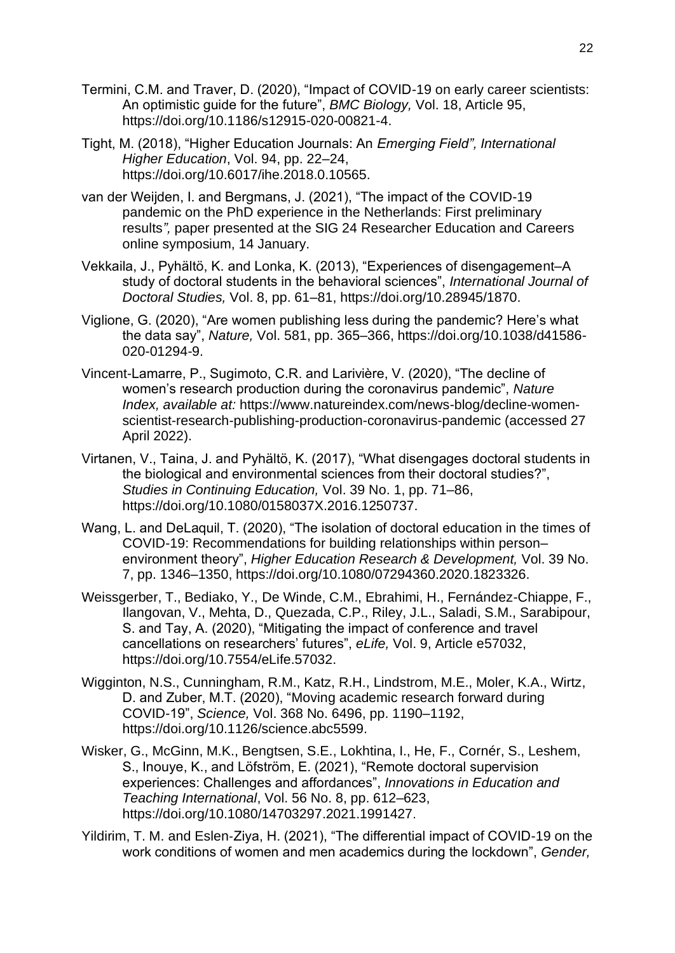- Termini, C.M. and Traver, D. (2020), "Impact of COVID-19 on early career scientists: An optimistic guide for the future", *BMC Biology,* Vol. 18, Article 95, https://doi.org/10.1186/s12915-020-00821-4.
- Tight, M. (2018), "Higher Education Journals: An *Emerging Field", International Higher Education*, Vol. 94, pp. 22–24, https://doi.org/10.6017/ihe.2018.0.10565.
- van der Weijden, I. and Bergmans, J. (2021), "The impact of the COVID-19 pandemic on the PhD experience in the Netherlands: First preliminary results*",* paper presented at the SIG 24 Researcher Education and Careers online symposium, 14 January.
- Vekkaila, J., Pyhältö, K. and Lonka, K. (2013), "Experiences of disengagement–A study of doctoral students in the behavioral sciences", *International Journal of Doctoral Studies,* Vol. 8, pp. 61–81, https://doi.org/10.28945/1870.
- Viglione, G. (2020), "Are women publishing less during the pandemic? Here's what the data say", *Nature,* Vol. 581, pp. 365–366, https://doi.org/10.1038/d41586- 020-01294-9.
- Vincent-Lamarre, P., Sugimoto, C.R. and Larivière, V. (2020), "The decline of women's research production during the coronavirus pandemic", *Nature Index, available at:* [https://www.natureindex.com/news-blog/decline-women](https://www.natureindex.com/news-blog/decline-women-scientist-research-publishing-production-coronavirus-pandemic)[scientist-research-publishing-production-coronavirus-pandemic](https://www.natureindex.com/news-blog/decline-women-scientist-research-publishing-production-coronavirus-pandemic) (accessed 27 April 2022).
- Virtanen, V., Taina, J. and Pyhältö, K. (2017), "What disengages doctoral students in the biological and environmental sciences from their doctoral studies?", *Studies in Continuing Education,* Vol. 39 No. 1, pp. 71–86, https://doi.org/10.1080/0158037X.2016.1250737.
- Wang, L. and DeLaquil, T. (2020), "The isolation of doctoral education in the times of COVID-19: Recommendations for building relationships within person– environment theory", *Higher Education Research & Development,* Vol. 39 No. 7, pp. 1346–1350, https://doi.org/10.1080/07294360.2020.1823326.
- Weissgerber, T., Bediako, Y., De Winde, C.M., Ebrahimi, H., Fernández-Chiappe, F., Ilangovan, V., Mehta, D., Quezada, C.P., Riley, J.L., Saladi, S.M., Sarabipour, S. and Tay, A. (2020), "Mitigating the impact of conference and travel cancellations on researchers' futures", *eLife,* Vol. 9, Article e57032, https://doi.org/10.7554/eLife.57032.
- Wigginton, N.S., Cunningham, R.M., Katz, R.H., Lindstrom, M.E., Moler, K.A., Wirtz, D. and Zuber, M.T. (2020), "Moving academic research forward during COVID-19", *Science,* Vol. 368 No. 6496, pp. 1190–1192, https://doi.org/10.1126/science.abc5599.
- Wisker, G., McGinn, M.K., Bengtsen, S.E., Lokhtina, I., He, F., Cornér, S., Leshem, S., Inouye, K., and Löfström, E. (2021), "Remote doctoral supervision experiences: Challenges and affordances", *Innovations in Education and Teaching International*, Vol. 56 No. 8, pp. 612–623, https://doi.org[/10.1080/14703297.2021.1991427](https://doi.org/10.1080/14703297.2021.1991427).
- Yildirim, T. M. and Eslen‐Ziya, H. (2021), "The differential impact of COVID-19 on the work conditions of women and men academics during the lockdown", *Gender,*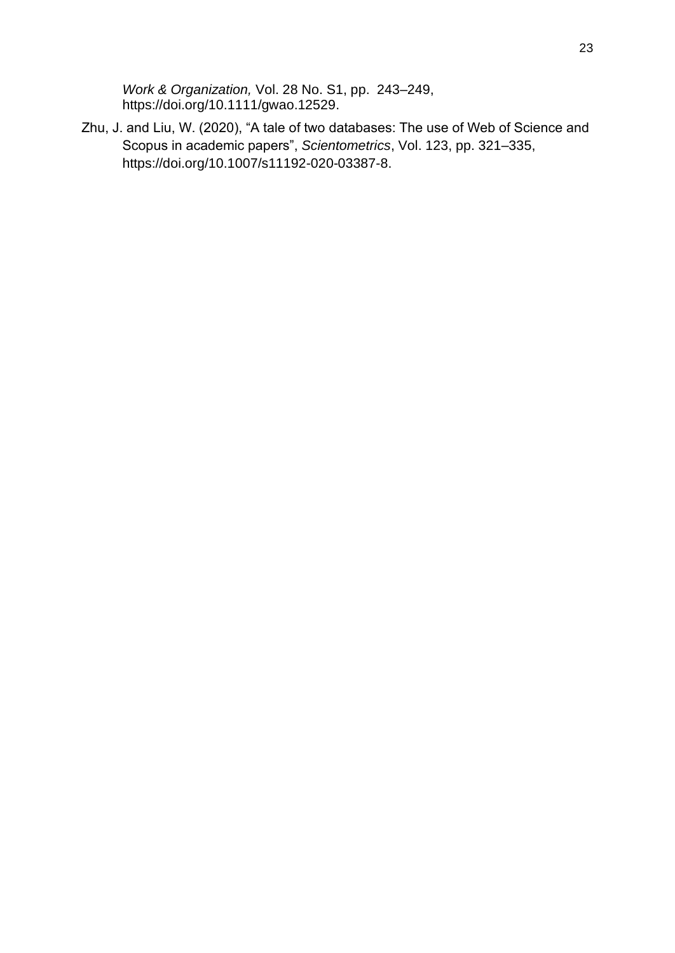*Work & Organization,* Vol. 28 No. S1, pp. 243–249, https://doi.org/10.1111/gwao.12529.

Zhu, J. and Liu, W. (2020), "A tale of two databases: The use of Web of Science and Scopus in academic papers", *Scientometrics*, Vol. 123, pp. 321–335, https://doi.org/10.1007/s11192-020-03387-8.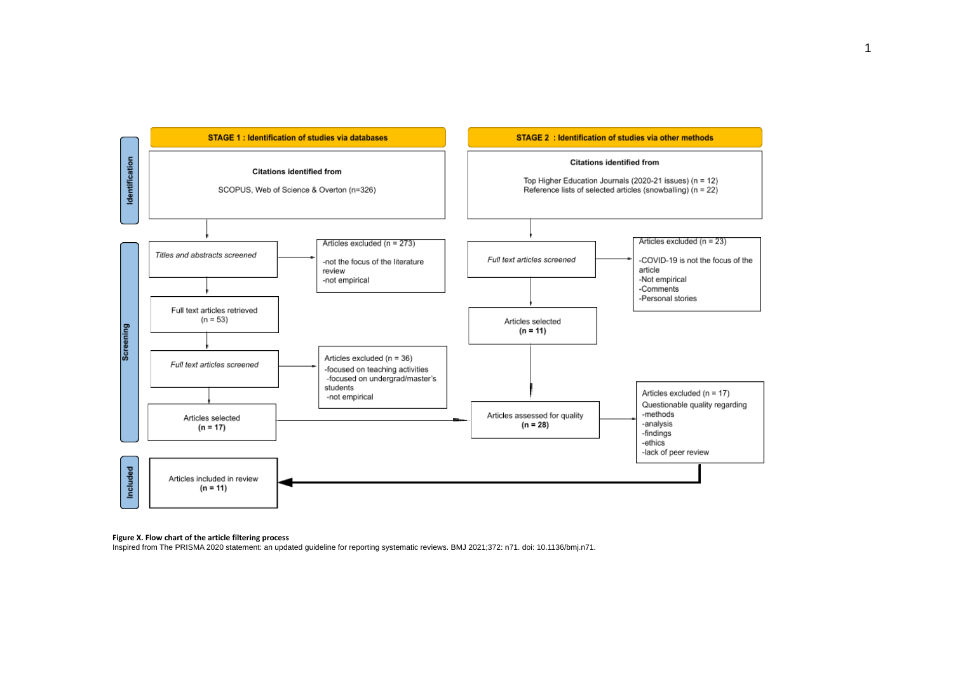

#### **Figure X. Flow chart of the article filtering process**

Inspired from The PRISMA 2020 statement: an updated guideline for reporting systematic reviews. BMJ 2021;372: n71. doi: 10.1136/bmj.n71.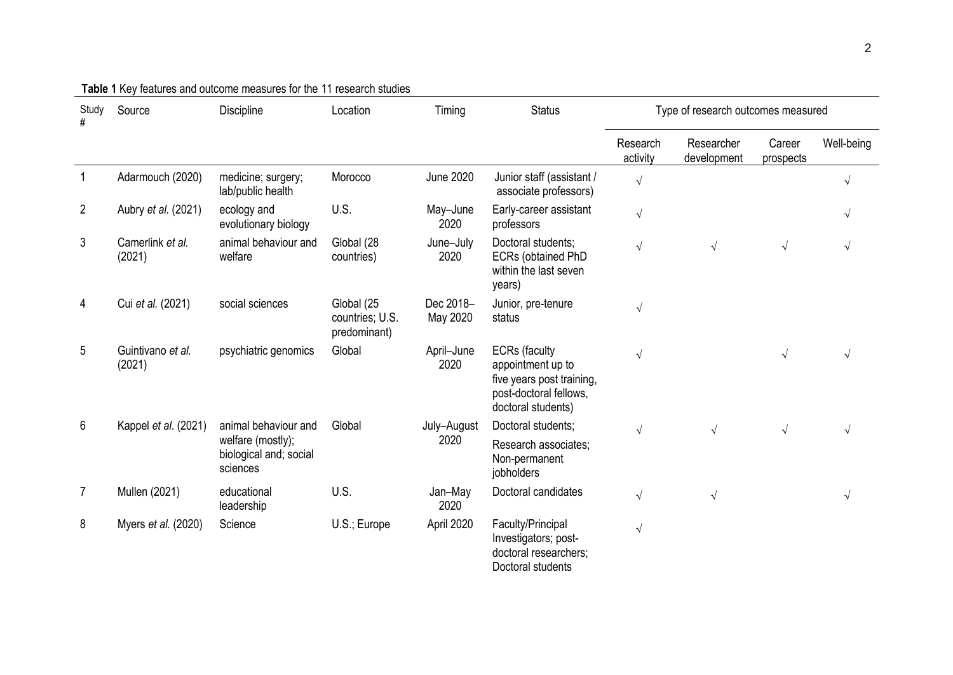| Study<br>#     | Source                      | Discipline                                              | Location                                      | Timing                | <b>Status</b>                                                                                                          | Type of research outcomes measured |                           |                     |            |
|----------------|-----------------------------|---------------------------------------------------------|-----------------------------------------------|-----------------------|------------------------------------------------------------------------------------------------------------------------|------------------------------------|---------------------------|---------------------|------------|
|                |                             |                                                         |                                               |                       |                                                                                                                        | Research<br>activity               | Researcher<br>development | Career<br>prospects | Well-being |
|                | Adarmouch (2020)            | medicine; surgery;<br>lab/public health                 | Morocco                                       | <b>June 2020</b>      | Junior staff (assistant /<br>associate professors)                                                                     | $\sqrt{ }$                         |                           |                     | $\sqrt{}$  |
| $\overline{2}$ | Aubry et al. (2021)         | ecology and<br>evolutionary biology                     | U.S.                                          | May-June<br>2020      | Early-career assistant<br>professors                                                                                   | $\sqrt{2}$                         |                           |                     | $\sqrt{ }$ |
| 3              | Camerlink et al.<br>(2021)  | animal behaviour and<br>welfare                         | Global (28<br>countries)                      | June-July<br>2020     | Doctoral students;<br>ECRs (obtained PhD<br>within the last seven<br>years)                                            | $\sqrt{}$                          | $\sqrt{ }$                | $\sqrt{ }$          |            |
| 4              | Cui et al. (2021)           | social sciences                                         | Global (25<br>countries; U.S.<br>predominant) | Dec 2018-<br>May 2020 | Junior, pre-tenure<br>status                                                                                           | $\sqrt{2}$                         |                           |                     |            |
| 5              | Guintivano et al.<br>(2021) | psychiatric genomics                                    | Global                                        | April-June<br>2020    | <b>ECRs</b> (faculty<br>appointment up to<br>five years post training,<br>post-doctoral fellows,<br>doctoral students) | $\sqrt{}$                          |                           |                     |            |
| 6              | Kappel et al. (2021)        | animal behaviour and                                    | Global                                        | July-August           | Doctoral students;                                                                                                     | $\sqrt{ }$                         | $\sqrt{}$                 | $\sqrt{ }$          |            |
|                |                             | welfare (mostly);<br>biological and; social<br>sciences |                                               | 2020                  | Research associates;<br>Non-permanent<br>jobholders                                                                    |                                    |                           |                     |            |
| $\overline{7}$ | Mullen (2021)               | educational<br>leadership                               | U.S.                                          | Jan-May<br>2020       | Doctoral candidates                                                                                                    | $\sqrt{ }$                         | $\sqrt{ }$                |                     |            |
| 8              | Myers et al. (2020)         | Science                                                 | U.S.; Europe                                  | April 2020            | Faculty/Principal<br>Investigators; post-<br>doctoral researchers;<br>Doctoral students                                | $\sqrt{ }$                         |                           |                     |            |

# **Table 1** Key features and outcome measures for the 11 research studies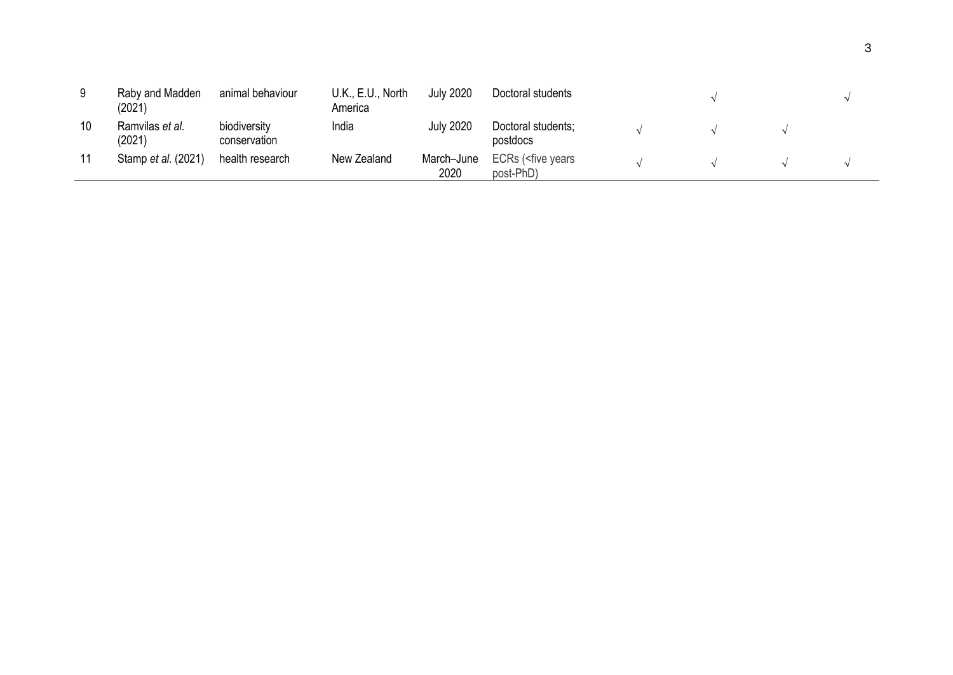| 9  | Raby and Madden<br>(2021) | animal behaviour             | U.K., E.U., North<br>America | July 2020          | Doctoral students                         |  |  |
|----|---------------------------|------------------------------|------------------------------|--------------------|-------------------------------------------|--|--|
| 10 | Ramvilas et al.<br>(2021) | biodiversity<br>conservation | India                        | <b>July 2020</b>   | Doctoral students;<br>postdocs            |  |  |
| 11 | Stamp et al. (2021)       | health research              | New Zealand                  | March-June<br>2020 | ECRs ( <five years<br="">post-PhD)</five> |  |  |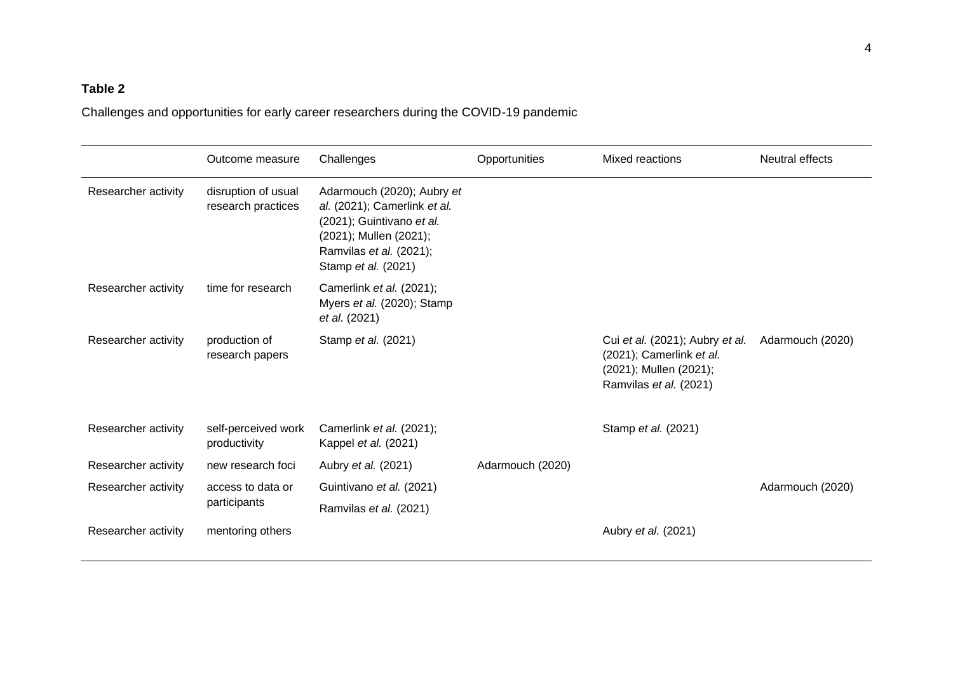# **Table 2**

Challenges and opportunities for early career researchers during the COVID-19 pandemic

|                     | Outcome measure                           | Challenges                                                                                                                                                          | Opportunities    | Mixed reactions                                                                                                 | Neutral effects  |
|---------------------|-------------------------------------------|---------------------------------------------------------------------------------------------------------------------------------------------------------------------|------------------|-----------------------------------------------------------------------------------------------------------------|------------------|
| Researcher activity | disruption of usual<br>research practices | Adarmouch (2020); Aubry et<br>al. (2021); Camerlink et al.<br>(2021); Guintivano et al.<br>(2021); Mullen (2021);<br>Ramvilas et al. (2021);<br>Stamp et al. (2021) |                  |                                                                                                                 |                  |
| Researcher activity | time for research                         | Camerlink et al. (2021);<br>Myers et al. (2020); Stamp<br>et al. (2021)                                                                                             |                  |                                                                                                                 |                  |
| Researcher activity | production of<br>research papers          | Stamp et al. (2021)                                                                                                                                                 |                  | Cui et al. (2021); Aubry et al.<br>(2021); Camerlink et al.<br>(2021); Mullen (2021);<br>Ramvilas et al. (2021) | Adarmouch (2020) |
| Researcher activity | self-perceived work<br>productivity       | Camerlink et al. (2021);<br>Kappel et al. (2021)                                                                                                                    |                  | Stamp et al. (2021)                                                                                             |                  |
| Researcher activity | new research foci                         | Aubry et al. (2021)                                                                                                                                                 | Adarmouch (2020) |                                                                                                                 |                  |
| Researcher activity | access to data or<br>participants         | Guintivano et al. (2021)                                                                                                                                            |                  |                                                                                                                 | Adarmouch (2020) |
|                     |                                           | Ramvilas et al. (2021)                                                                                                                                              |                  |                                                                                                                 |                  |
| Researcher activity | mentoring others                          |                                                                                                                                                                     |                  | Aubry et al. (2021)                                                                                             |                  |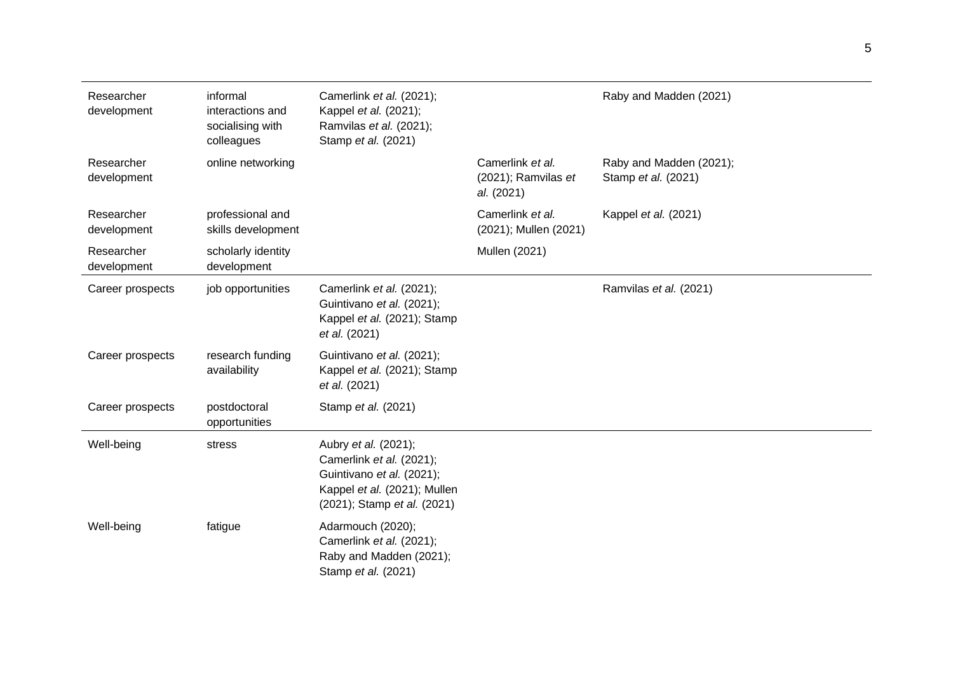| Researcher<br>development | informal<br>interactions and<br>socialising with<br>colleagues | Camerlink et al. (2021);<br>Kappel et al. (2021);<br>Ramvilas et al. (2021);<br>Stamp et al. (2021)                                          |                                                       | Raby and Madden (2021)                         |
|---------------------------|----------------------------------------------------------------|----------------------------------------------------------------------------------------------------------------------------------------------|-------------------------------------------------------|------------------------------------------------|
| Researcher<br>development | online networking                                              |                                                                                                                                              | Camerlink et al.<br>(2021); Ramvilas et<br>al. (2021) | Raby and Madden (2021);<br>Stamp et al. (2021) |
| Researcher<br>development | professional and<br>skills development                         |                                                                                                                                              | Camerlink et al.<br>(2021); Mullen (2021)             | Kappel et al. (2021)                           |
| Researcher<br>development | scholarly identity<br>development                              |                                                                                                                                              | Mullen (2021)                                         |                                                |
| Career prospects          | job opportunities                                              | Camerlink et al. (2021);<br>Guintivano et al. (2021);<br>Kappel et al. (2021); Stamp<br>et al. (2021)                                        |                                                       | Ramvilas et al. (2021)                         |
| Career prospects          | research funding<br>availability                               | Guintivano et al. (2021);<br>Kappel et al. (2021); Stamp<br>et al. (2021)                                                                    |                                                       |                                                |
| Career prospects          | postdoctoral<br>opportunities                                  | Stamp et al. (2021)                                                                                                                          |                                                       |                                                |
| Well-being                | stress                                                         | Aubry et al. (2021);<br>Camerlink et al. (2021);<br>Guintivano et al. (2021);<br>Kappel et al. (2021); Mullen<br>(2021); Stamp et al. (2021) |                                                       |                                                |
| Well-being                | fatigue                                                        | Adarmouch (2020);<br>Camerlink et al. (2021);<br>Raby and Madden (2021);<br>Stamp et al. (2021)                                              |                                                       |                                                |